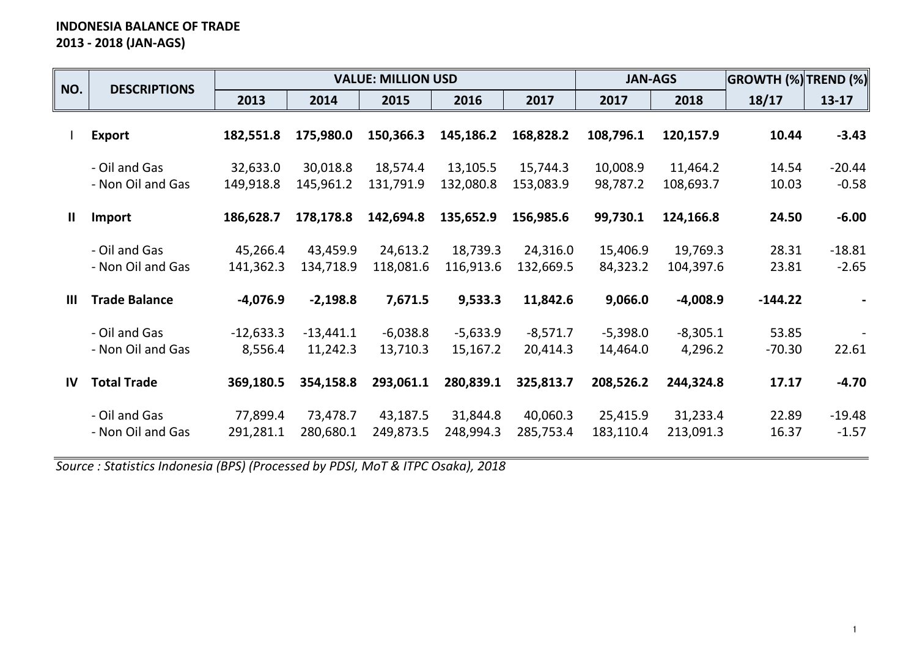# **INDONESIA BALANCE OF TRADE 2013 - 2018 (JAN-AGS)**

| NO.            | <b>DESCRIPTIONS</b>                |                        |                         | <b>VALUE: MILLION USD</b> |                        |                        | <b>JAN-AGS</b>         |                       | <b>GROWTH (%) TREND (%)</b> |                     |
|----------------|------------------------------------|------------------------|-------------------------|---------------------------|------------------------|------------------------|------------------------|-----------------------|-----------------------------|---------------------|
|                |                                    | 2013                   | 2014                    | 2015                      | 2016                   | 2017                   | 2017                   | 2018                  | 18/17                       | $13-17$             |
|                | <b>Export</b>                      | 182,551.8              | 175,980.0               | 150,366.3                 | 145,186.2              | 168,828.2              | 108,796.1              | 120,157.9             | 10.44                       | $-3.43$             |
|                | - Oil and Gas<br>- Non Oil and Gas | 32,633.0<br>149,918.8  | 30,018.8<br>145,961.2   | 18,574.4<br>131,791.9     | 13,105.5<br>132,080.8  | 15,744.3<br>153,083.9  | 10,008.9<br>98,787.2   | 11,464.2<br>108,693.7 | 14.54<br>10.03              | $-20.44$<br>$-0.58$ |
| Ш              | <b>Import</b>                      | 186,628.7              | 178,178.8               | 142,694.8                 | 135,652.9              | 156,985.6              | 99,730.1               | 124,166.8             | 24.50                       | $-6.00$             |
|                | - Oil and Gas<br>- Non Oil and Gas | 45,266.4<br>141,362.3  | 43,459.9<br>134,718.9   | 24,613.2<br>118,081.6     | 18,739.3<br>116,913.6  | 24,316.0<br>132,669.5  | 15,406.9<br>84,323.2   | 19,769.3<br>104,397.6 | 28.31<br>23.81              | $-18.81$<br>$-2.65$ |
| $\mathbf{III}$ | <b>Trade Balance</b>               | $-4,076.9$             | $-2,198.8$              | 7,671.5                   | 9,533.3                | 11,842.6               | 9,066.0                | $-4,008.9$            | $-144.22$                   |                     |
|                | - Oil and Gas<br>- Non Oil and Gas | $-12,633.3$<br>8,556.4 | $-13,441.1$<br>11,242.3 | $-6,038.8$<br>13,710.3    | $-5,633.9$<br>15,167.2 | $-8,571.7$<br>20,414.3 | $-5,398.0$<br>14,464.0 | $-8,305.1$<br>4,296.2 | 53.85<br>$-70.30$           | 22.61               |
| IV             | <b>Total Trade</b>                 | 369,180.5              | 354,158.8               | 293,061.1                 | 280,839.1              | 325,813.7              | 208,526.2              | 244,324.8             | 17.17                       | $-4.70$             |
|                | - Oil and Gas<br>- Non Oil and Gas | 77,899.4<br>291,281.1  | 73,478.7<br>280,680.1   | 43,187.5<br>249,873.5     | 31,844.8<br>248,994.3  | 40,060.3<br>285,753.4  | 25,415.9<br>183,110.4  | 31,233.4<br>213,091.3 | 22.89<br>16.37              | $-19.48$<br>$-1.57$ |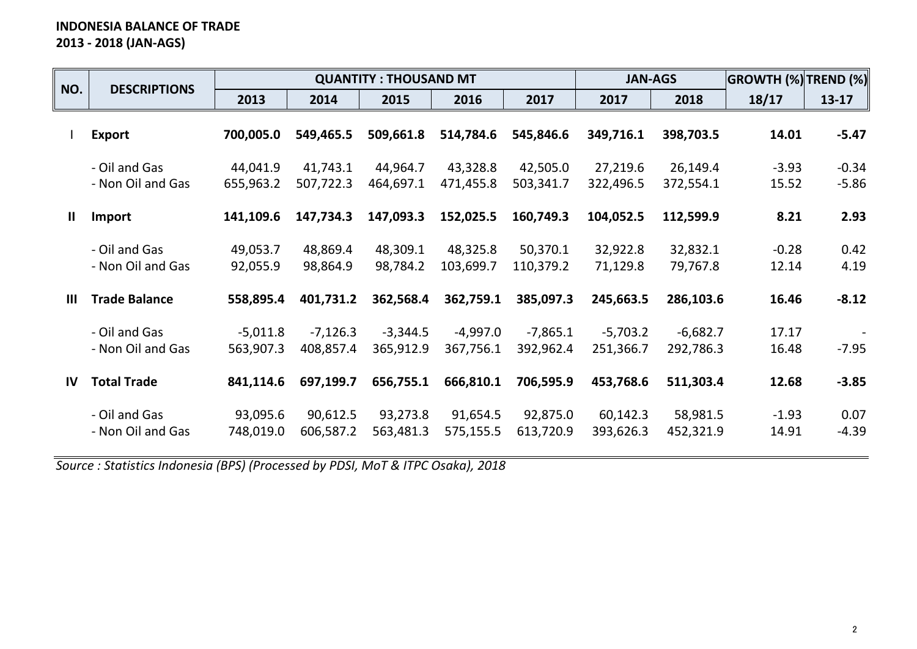# **INDONESIA BALANCE OF TRADE 2013 - 2018 (JAN-AGS)**

|                |                                    |                         |                         | <b>QUANTITY: THOUSAND MT</b> |                         |                         | <b>JAN-AGS</b>          |                         | <b>GROWTH (%) TREND (%)</b> |                    |
|----------------|------------------------------------|-------------------------|-------------------------|------------------------------|-------------------------|-------------------------|-------------------------|-------------------------|-----------------------------|--------------------|
| NO.            | <b>DESCRIPTIONS</b>                | 2013                    | 2014                    | 2015                         | 2016                    | 2017                    | 2017                    | 2018                    | 18/17                       | $13 - 17$          |
|                | <b>Export</b>                      | 700,005.0               | 549,465.5               | 509,661.8                    | 514,784.6               | 545,846.6               | 349,716.1               | 398,703.5               | 14.01                       | $-5.47$            |
|                | - Oil and Gas<br>- Non Oil and Gas | 44,041.9<br>655,963.2   | 41,743.1<br>507,722.3   | 44,964.7<br>464,697.1        | 43,328.8<br>471,455.8   | 42,505.0<br>503,341.7   | 27,219.6<br>322,496.5   | 26,149.4<br>372,554.1   | $-3.93$<br>15.52            | $-0.34$<br>$-5.86$ |
| $\mathbf{II}$  | Import                             | 141,109.6               | 147,734.3               | 147,093.3                    | 152,025.5               | 160,749.3               | 104,052.5               | 112,599.9               | 8.21                        | 2.93               |
|                | - Oil and Gas<br>- Non Oil and Gas | 49,053.7<br>92,055.9    | 48,869.4<br>98,864.9    | 48,309.1<br>98,784.2         | 48,325.8<br>103,699.7   | 50,370.1<br>110,379.2   | 32,922.8<br>71,129.8    | 32,832.1<br>79,767.8    | $-0.28$<br>12.14            | 0.42<br>4.19       |
| $\mathbf{III}$ | <b>Trade Balance</b>               | 558,895.4               | 401,731.2               | 362,568.4                    | 362,759.1               | 385,097.3               | 245,663.5               | 286,103.6               | 16.46                       | $-8.12$            |
|                | - Oil and Gas<br>- Non Oil and Gas | $-5,011.8$<br>563,907.3 | $-7,126.3$<br>408,857.4 | $-3,344.5$<br>365,912.9      | $-4,997.0$<br>367,756.1 | $-7,865.1$<br>392,962.4 | $-5,703.2$<br>251,366.7 | $-6,682.7$<br>292,786.3 | 17.17<br>16.48              | $-7.95$            |
| IV             | <b>Total Trade</b>                 | 841,114.6               | 697,199.7               | 656,755.1                    | 666,810.1               | 706,595.9               | 453,768.6               | 511,303.4               | 12.68                       | $-3.85$            |
|                | - Oil and Gas<br>- Non Oil and Gas | 93,095.6<br>748,019.0   | 90,612.5<br>606,587.2   | 93,273.8<br>563,481.3        | 91,654.5<br>575,155.5   | 92,875.0<br>613,720.9   | 60,142.3<br>393,626.3   | 58,981.5<br>452,321.9   | $-1.93$<br>14.91            | 0.07<br>$-4.39$    |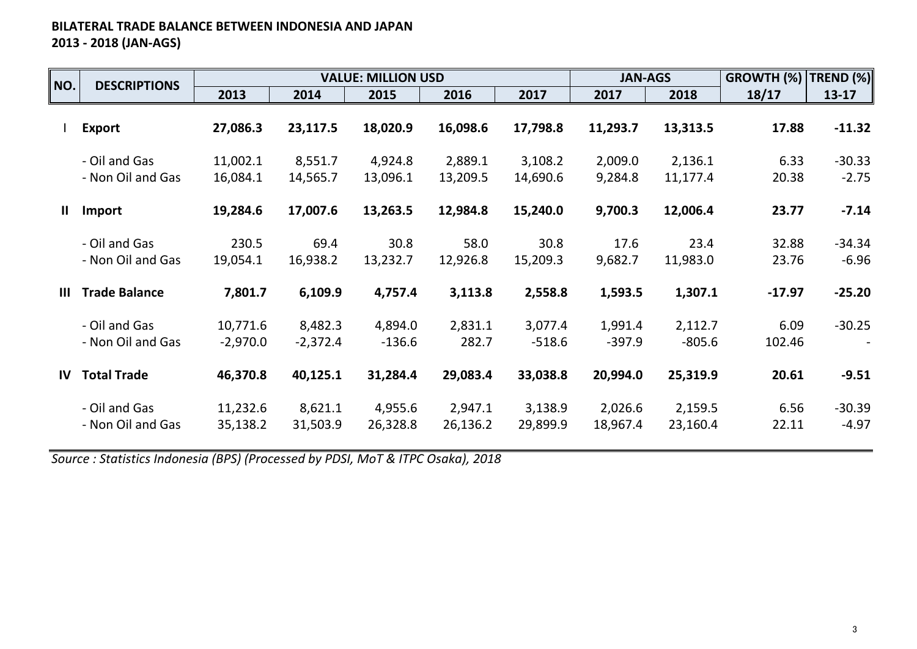# **BILATERAL TRADE BALANCE BETWEEN INDONESIA AND JAPAN 2013 - 2018 (JAN-AGS)**

| NO.            | <b>DESCRIPTIONS</b>                |                        |                       | <b>VALUE: MILLION USD</b> |                     |                     | <b>JAN-AGS</b>      |                     | <b>GROWTH (%)</b> | TREND $(\%)$        |
|----------------|------------------------------------|------------------------|-----------------------|---------------------------|---------------------|---------------------|---------------------|---------------------|-------------------|---------------------|
|                |                                    | 2013                   | 2014                  | 2015                      | 2016                | 2017                | 2017                | 2018                | 18/17             | $13-17$             |
|                | <b>Export</b>                      | 27,086.3               | 23,117.5              | 18,020.9                  | 16,098.6            | 17,798.8            | 11,293.7            | 13,313.5            | 17.88             | $-11.32$            |
|                | - Oil and Gas<br>- Non Oil and Gas | 11,002.1<br>16,084.1   | 8,551.7<br>14,565.7   | 4,924.8<br>13,096.1       | 2,889.1<br>13,209.5 | 3,108.2<br>14,690.6 | 2,009.0<br>9,284.8  | 2,136.1<br>11,177.4 | 6.33<br>20.38     | $-30.33$<br>$-2.75$ |
| $\mathbf{H}$   | Import                             | 19,284.6               | 17,007.6              | 13,263.5                  | 12,984.8            | 15,240.0            | 9,700.3             | 12,006.4            | 23.77             | $-7.14$             |
|                | - Oil and Gas<br>- Non Oil and Gas | 230.5<br>19,054.1      | 69.4<br>16,938.2      | 30.8<br>13,232.7          | 58.0<br>12,926.8    | 30.8<br>15,209.3    | 17.6<br>9,682.7     | 23.4<br>11,983.0    | 32.88<br>23.76    | $-34.34$<br>$-6.96$ |
| $\mathbf{III}$ | <b>Trade Balance</b>               | 7,801.7                | 6,109.9               | 4,757.4                   | 3,113.8             | 2,558.8             | 1,593.5             | 1,307.1             | $-17.97$          | $-25.20$            |
|                | - Oil and Gas<br>- Non Oil and Gas | 10,771.6<br>$-2,970.0$ | 8,482.3<br>$-2,372.4$ | 4,894.0<br>$-136.6$       | 2,831.1<br>282.7    | 3,077.4<br>$-518.6$ | 1,991.4<br>$-397.9$ | 2,112.7<br>$-805.6$ | 6.09<br>102.46    | $-30.25$            |
| IV             | <b>Total Trade</b>                 | 46,370.8               | 40,125.1              | 31,284.4                  | 29,083.4            | 33,038.8            | 20,994.0            | 25,319.9            | 20.61             | $-9.51$             |
|                | - Oil and Gas<br>- Non Oil and Gas | 11,232.6<br>35,138.2   | 8,621.1<br>31,503.9   | 4,955.6<br>26,328.8       | 2,947.1<br>26,136.2 | 3,138.9<br>29,899.9 | 2,026.6<br>18,967.4 | 2,159.5<br>23,160.4 | 6.56<br>22.11     | $-30.39$<br>$-4.97$ |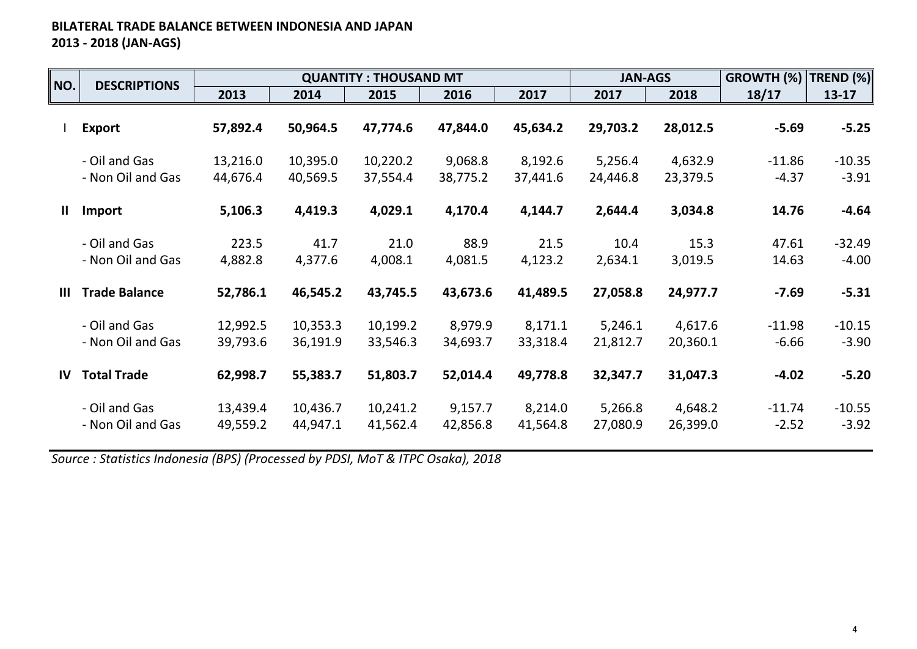# **BILATERAL TRADE BALANCE BETWEEN INDONESIA AND JAPAN 2013 - 2018 (JAN-AGS)**

| NO.            | <b>DESCRIPTIONS</b>                |                      |                      | <b>QUANTITY: THOUSAND MT</b> |                     |                     | <b>JAN-AGS</b>      |                     | GROWTH (%)          | TREND $(\%)$        |
|----------------|------------------------------------|----------------------|----------------------|------------------------------|---------------------|---------------------|---------------------|---------------------|---------------------|---------------------|
|                |                                    | 2013                 | 2014                 | 2015                         | 2016                | 2017                | 2017                | 2018                | 18/17               | $13 - 17$           |
|                | <b>Export</b>                      | 57,892.4             | 50,964.5             | 47,774.6                     | 47,844.0            | 45,634.2            | 29,703.2            | 28,012.5            | $-5.69$             | $-5.25$             |
|                | - Oil and Gas<br>- Non Oil and Gas | 13,216.0<br>44,676.4 | 10,395.0<br>40,569.5 | 10,220.2<br>37,554.4         | 9,068.8<br>38,775.2 | 8,192.6<br>37,441.6 | 5,256.4<br>24,446.8 | 4,632.9<br>23,379.5 | $-11.86$<br>$-4.37$ | $-10.35$<br>$-3.91$ |
| Ш              | Import                             | 5,106.3              | 4,419.3              | 4,029.1                      | 4,170.4             | 4,144.7             | 2,644.4             | 3,034.8             | 14.76               | $-4.64$             |
|                | - Oil and Gas<br>- Non Oil and Gas | 223.5<br>4,882.8     | 41.7<br>4,377.6      | 21.0<br>4,008.1              | 88.9<br>4,081.5     | 21.5<br>4,123.2     | 10.4<br>2,634.1     | 15.3<br>3,019.5     | 47.61<br>14.63      | $-32.49$<br>$-4.00$ |
| $\mathbf{III}$ | <b>Trade Balance</b>               | 52,786.1             | 46,545.2             | 43,745.5                     | 43,673.6            | 41,489.5            | 27,058.8            | 24,977.7            | $-7.69$             | $-5.31$             |
|                | - Oil and Gas<br>- Non Oil and Gas | 12,992.5<br>39,793.6 | 10,353.3<br>36,191.9 | 10,199.2<br>33,546.3         | 8,979.9<br>34,693.7 | 8,171.1<br>33,318.4 | 5,246.1<br>21,812.7 | 4,617.6<br>20,360.1 | $-11.98$<br>$-6.66$ | $-10.15$<br>$-3.90$ |
| $\mathsf{IV}$  | <b>Total Trade</b>                 | 62,998.7             | 55,383.7             | 51,803.7                     | 52,014.4            | 49,778.8            | 32,347.7            | 31,047.3            | $-4.02$             | $-5.20$             |
|                | - Oil and Gas<br>- Non Oil and Gas | 13,439.4<br>49,559.2 | 10,436.7<br>44,947.1 | 10,241.2<br>41,562.4         | 9,157.7<br>42,856.8 | 8,214.0<br>41,564.8 | 5,266.8<br>27,080.9 | 4,648.2<br>26,399.0 | $-11.74$<br>$-2.52$ | $-10.55$<br>$-3.92$ |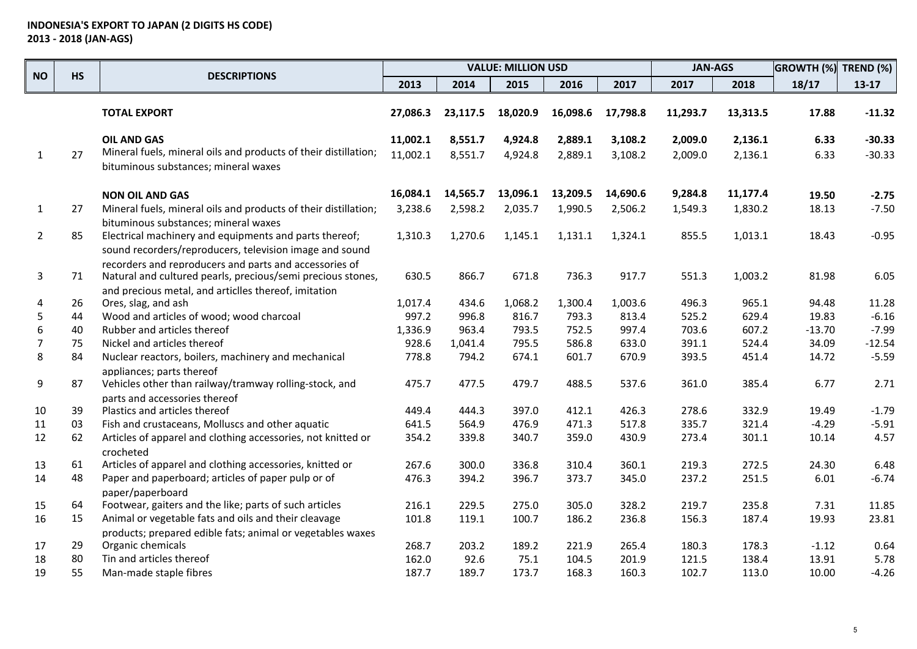|                |           |                                                                                                                                                                               | <b>VALUE: MILLION USD</b> |          |          |          |          | <b>JAN-AGS</b> |          | <b>GROWTH (%)</b> TREND (%) |           |
|----------------|-----------|-------------------------------------------------------------------------------------------------------------------------------------------------------------------------------|---------------------------|----------|----------|----------|----------|----------------|----------|-----------------------------|-----------|
| <b>NO</b>      | <b>HS</b> | <b>DESCRIPTIONS</b>                                                                                                                                                           | 2013                      | 2014     | 2015     | 2016     | 2017     | 2017           | 2018     | 18/17                       | $13 - 17$ |
|                |           | <b>TOTAL EXPORT</b>                                                                                                                                                           | 27,086.3                  | 23,117.5 | 18,020.9 | 16,098.6 | 17,798.8 | 11,293.7       | 13,313.5 | 17.88                       | $-11.32$  |
|                |           | <b>OIL AND GAS</b>                                                                                                                                                            | 11,002.1                  | 8,551.7  | 4,924.8  | 2,889.1  | 3,108.2  | 2,009.0        | 2,136.1  | 6.33                        | $-30.33$  |
| $\mathbf{1}$   | 27        | Mineral fuels, mineral oils and products of their distillation;                                                                                                               | 11,002.1                  | 8,551.7  | 4,924.8  | 2,889.1  | 3,108.2  | 2,009.0        | 2,136.1  | 6.33                        | $-30.33$  |
|                |           | bituminous substances; mineral waxes                                                                                                                                          |                           |          |          |          |          |                |          |                             |           |
|                |           | <b>NON OIL AND GAS</b>                                                                                                                                                        | 16,084.1                  | 14,565.7 | 13,096.1 | 13,209.5 | 14,690.6 | 9,284.8        | 11,177.4 | 19.50                       | $-2.75$   |
| $\mathbf{1}$   | 27        | Mineral fuels, mineral oils and products of their distillation;                                                                                                               | 3,238.6                   | 2,598.2  | 2,035.7  | 1,990.5  | 2,506.2  | 1,549.3        | 1,830.2  | 18.13                       | $-7.50$   |
|                |           | bituminous substances; mineral waxes                                                                                                                                          |                           |          |          |          |          |                |          |                             |           |
| $\overline{2}$ | 85        | Electrical machinery and equipments and parts thereof;<br>sound recorders/reproducers, television image and sound                                                             | 1,310.3                   | 1,270.6  | 1,145.1  | 1,131.1  | 1,324.1  | 855.5          | 1,013.1  | 18.43                       | $-0.95$   |
| 3              | 71        | recorders and reproducers and parts and accessories of<br>Natural and cultured pearls, precious/semi precious stones,<br>and precious metal, and articlles thereof, imitation | 630.5                     | 866.7    | 671.8    | 736.3    | 917.7    | 551.3          | 1,003.2  | 81.98                       | 6.05      |
| 4              | 26        | Ores, slag, and ash                                                                                                                                                           | 1,017.4                   | 434.6    | 1,068.2  | 1,300.4  | 1,003.6  | 496.3          | 965.1    | 94.48                       | 11.28     |
| 5              | 44        | Wood and articles of wood; wood charcoal                                                                                                                                      | 997.2                     | 996.8    | 816.7    | 793.3    | 813.4    | 525.2          | 629.4    | 19.83                       | $-6.16$   |
| 6              | 40        | Rubber and articles thereof                                                                                                                                                   | 1,336.9                   | 963.4    | 793.5    | 752.5    | 997.4    | 703.6          | 607.2    | $-13.70$                    | $-7.99$   |
| $\overline{7}$ | 75        | Nickel and articles thereof                                                                                                                                                   | 928.6                     | 1,041.4  | 795.5    | 586.8    | 633.0    | 391.1          | 524.4    | 34.09                       | $-12.54$  |
| 8              | 84        | Nuclear reactors, boilers, machinery and mechanical<br>appliances; parts thereof                                                                                              | 778.8                     | 794.2    | 674.1    | 601.7    | 670.9    | 393.5          | 451.4    | 14.72                       | $-5.59$   |
| 9              | 87        | Vehicles other than railway/tramway rolling-stock, and<br>parts and accessories thereof                                                                                       | 475.7                     | 477.5    | 479.7    | 488.5    | 537.6    | 361.0          | 385.4    | 6.77                        | 2.71      |
| 10             | 39        | Plastics and articles thereof                                                                                                                                                 | 449.4                     | 444.3    | 397.0    | 412.1    | 426.3    | 278.6          | 332.9    | 19.49                       | $-1.79$   |
| 11             | 03        | Fish and crustaceans, Molluscs and other aquatic                                                                                                                              | 641.5                     | 564.9    | 476.9    | 471.3    | 517.8    | 335.7          | 321.4    | $-4.29$                     | $-5.91$   |
| 12             | 62        | Articles of apparel and clothing accessories, not knitted or<br>crocheted                                                                                                     | 354.2                     | 339.8    | 340.7    | 359.0    | 430.9    | 273.4          | 301.1    | 10.14                       | 4.57      |
| 13             | 61        | Articles of apparel and clothing accessories, knitted or                                                                                                                      | 267.6                     | 300.0    | 336.8    | 310.4    | 360.1    | 219.3          | 272.5    | 24.30                       | 6.48      |
| 14             | 48        | Paper and paperboard; articles of paper pulp or of<br>paper/paperboard                                                                                                        | 476.3                     | 394.2    | 396.7    | 373.7    | 345.0    | 237.2          | 251.5    | 6.01                        | $-6.74$   |
| 15             | 64        | Footwear, gaiters and the like; parts of such articles                                                                                                                        | 216.1                     | 229.5    | 275.0    | 305.0    | 328.2    | 219.7          | 235.8    | 7.31                        | 11.85     |
| 16             | 15        | Animal or vegetable fats and oils and their cleavage                                                                                                                          | 101.8                     | 119.1    | 100.7    | 186.2    | 236.8    | 156.3          | 187.4    | 19.93                       | 23.81     |
|                |           | products; prepared edible fats; animal or vegetables waxes                                                                                                                    |                           |          |          |          |          |                |          |                             |           |
| 17             | 29        | Organic chemicals                                                                                                                                                             | 268.7                     | 203.2    | 189.2    | 221.9    | 265.4    | 180.3          | 178.3    | $-1.12$                     | 0.64      |
| 18             | 80        | Tin and articles thereof                                                                                                                                                      | 162.0                     | 92.6     | 75.1     | 104.5    | 201.9    | 121.5          | 138.4    | 13.91                       | 5.78      |
| 19             | 55        | Man-made staple fibres                                                                                                                                                        | 187.7                     | 189.7    | 173.7    | 168.3    | 160.3    | 102.7          | 113.0    | 10.00                       | $-4.26$   |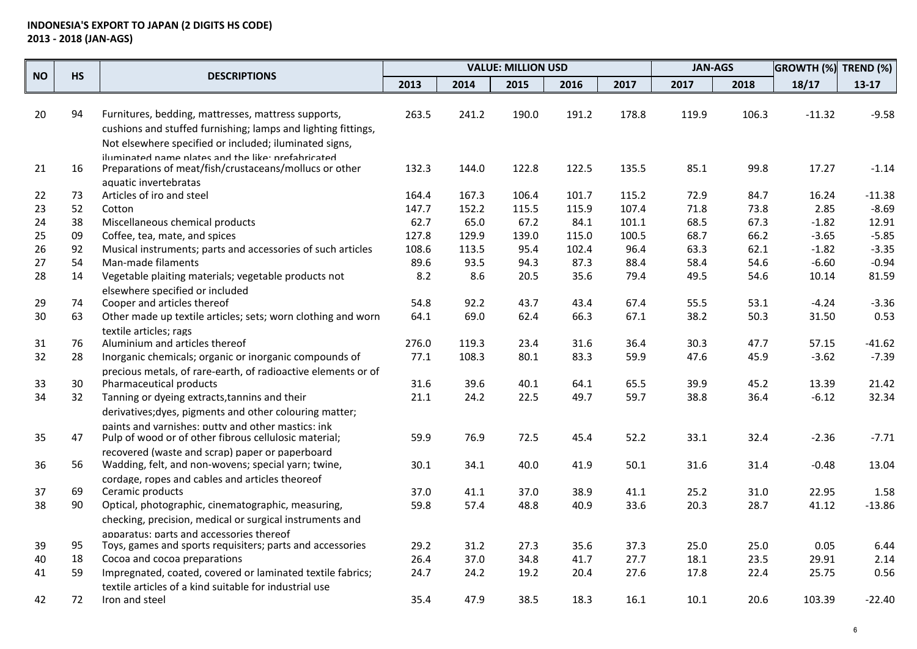|           | <b>HS</b> | <b>DESCRIPTIONS</b>                                                                     |       |       | <b>VALUE: MILLION USD</b> |       |       | <b>JAN-AGS</b> |       | GROWTH (%) TREND (%) |           |
|-----------|-----------|-----------------------------------------------------------------------------------------|-------|-------|---------------------------|-------|-------|----------------|-------|----------------------|-----------|
| <b>NO</b> |           |                                                                                         | 2013  | 2014  | 2015                      | 2016  | 2017  | 2017           | 2018  | 18/17                | $13 - 17$ |
|           |           |                                                                                         |       |       |                           |       |       |                |       |                      |           |
| 20        | 94        | Furnitures, bedding, mattresses, mattress supports,                                     | 263.5 | 241.2 | 190.0                     | 191.2 | 178.8 | 119.9          | 106.3 | $-11.32$             | $-9.58$   |
|           |           | cushions and stuffed furnishing; lamps and lighting fittings,                           |       |       |                           |       |       |                |       |                      |           |
|           |           | Not elsewhere specified or included; iluminated signs,                                  |       |       |                           |       |       |                |       |                      |           |
|           |           | iluminated name plates and the like: prefabricated                                      |       |       |                           |       |       |                |       |                      |           |
| 21        | 16        | Preparations of meat/fish/crustaceans/mollucs or other                                  | 132.3 | 144.0 | 122.8                     | 122.5 | 135.5 | 85.1           | 99.8  | 17.27                | $-1.14$   |
|           |           | aquatic invertebratas                                                                   |       |       |                           |       |       |                |       |                      |           |
| 22        | 73        | Articles of iro and steel                                                               | 164.4 | 167.3 | 106.4                     | 101.7 | 115.2 | 72.9           | 84.7  | 16.24                | $-11.38$  |
| 23        | 52        | Cotton                                                                                  | 147.7 | 152.2 | 115.5                     | 115.9 | 107.4 | 71.8           | 73.8  | 2.85                 | $-8.69$   |
| 24        | 38        | Miscellaneous chemical products                                                         | 62.7  | 65.0  | 67.2                      | 84.1  | 101.1 | 68.5           | 67.3  | $-1.82$              | 12.91     |
| 25        | 09        | Coffee, tea, mate, and spices                                                           | 127.8 | 129.9 | 139.0                     | 115.0 | 100.5 | 68.7           | 66.2  | $-3.65$              | $-5.85$   |
| 26        | 92        | Musical instruments; parts and accessories of such articles                             | 108.6 | 113.5 | 95.4                      | 102.4 | 96.4  | 63.3           | 62.1  | $-1.82$              | $-3.35$   |
| 27        | 54        | Man-made filaments                                                                      | 89.6  | 93.5  | 94.3                      | 87.3  | 88.4  | 58.4           | 54.6  | $-6.60$              | $-0.94$   |
| 28        | 14        | Vegetable plaiting materials; vegetable products not<br>elsewhere specified or included | 8.2   | 8.6   | 20.5                      | 35.6  | 79.4  | 49.5           | 54.6  | 10.14                | 81.59     |
| 29        | 74        | Cooper and articles thereof                                                             | 54.8  | 92.2  | 43.7                      | 43.4  | 67.4  | 55.5           | 53.1  | $-4.24$              | $-3.36$   |
| 30        | 63        | Other made up textile articles; sets; worn clothing and worn                            | 64.1  | 69.0  | 62.4                      | 66.3  | 67.1  | 38.2           | 50.3  | 31.50                | 0.53      |
|           |           | textile articles; rags                                                                  |       |       |                           |       |       |                |       |                      |           |
| 31        | 76        | Aluminium and articles thereof                                                          | 276.0 | 119.3 | 23.4                      | 31.6  | 36.4  | 30.3           | 47.7  | 57.15                | $-41.62$  |
| 32        | 28        | Inorganic chemicals; organic or inorganic compounds of                                  | 77.1  | 108.3 | 80.1                      | 83.3  | 59.9  | 47.6           | 45.9  | $-3.62$              | $-7.39$   |
|           |           | precious metals, of rare-earth, of radioactive elements or of                           |       |       |                           |       |       |                |       |                      |           |
| 33        | 30        | Pharmaceutical products                                                                 | 31.6  | 39.6  | 40.1                      | 64.1  | 65.5  | 39.9           | 45.2  | 13.39                | 21.42     |
| 34        | 32        | Tanning or dyeing extracts, tannins and their                                           | 21.1  | 24.2  | 22.5                      | 49.7  | 59.7  | 38.8           | 36.4  | $-6.12$              | 32.34     |
|           |           | derivatives; dyes, pigments and other colouring matter;                                 |       |       |                           |       |       |                |       |                      |           |
|           |           | paints and varnishes: putty and other mastics: ink                                      |       |       |                           |       |       |                |       |                      |           |
| 35        | 47        | Pulp of wood or of other fibrous cellulosic material;                                   | 59.9  | 76.9  | 72.5                      | 45.4  | 52.2  | 33.1           | 32.4  | $-2.36$              | $-7.71$   |
|           |           | recovered (waste and scrap) paper or paperboard                                         |       |       |                           |       |       |                |       |                      |           |
| 36        | 56        | Wadding, felt, and non-wovens; special yarn; twine,                                     | 30.1  | 34.1  | 40.0                      | 41.9  | 50.1  | 31.6           | 31.4  | $-0.48$              | 13.04     |
|           |           | cordage, ropes and cables and articles theoreof                                         |       |       |                           |       |       |                |       |                      |           |
| 37        | 69        | Ceramic products                                                                        | 37.0  | 41.1  | 37.0                      | 38.9  | 41.1  | 25.2           | 31.0  | 22.95                | 1.58      |
| 38        | 90        | Optical, photographic, cinematographic, measuring,                                      | 59.8  | 57.4  | 48.8                      | 40.9  | 33.6  | 20.3           | 28.7  | 41.12                | $-13.86$  |
|           |           | checking, precision, medical or surgical instruments and                                |       |       |                           |       |       |                |       |                      |           |
|           |           | apparatus: parts and accessories thereof                                                |       |       |                           |       |       |                |       |                      |           |
| 39        | 95        | Toys, games and sports requisiters; parts and accessories                               | 29.2  | 31.2  | 27.3                      | 35.6  | 37.3  | 25.0           | 25.0  | 0.05                 | 6.44      |
| 40        | 18        | Cocoa and cocoa preparations                                                            | 26.4  | 37.0  | 34.8                      | 41.7  | 27.7  | 18.1           | 23.5  | 29.91                | 2.14      |
| 41        | 59        | Impregnated, coated, covered or laminated textile fabrics;                              | 24.7  | 24.2  | 19.2                      | 20.4  | 27.6  | 17.8           | 22.4  | 25.75                | 0.56      |
|           |           | textile articles of a kind suitable for industrial use                                  |       |       |                           |       |       |                |       |                      |           |
| 42        | 72        | Iron and steel                                                                          | 35.4  | 47.9  | 38.5                      | 18.3  | 16.1  | 10.1           | 20.6  | 103.39               | $-22.40$  |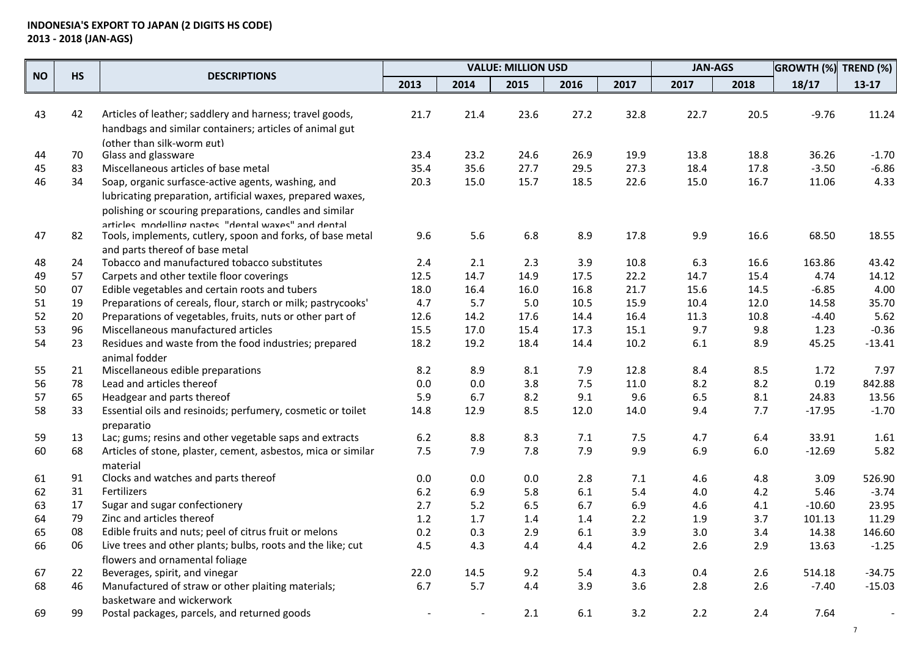|           |           |                                                                        |         |      | <b>VALUE: MILLION USD</b> |      |      | <b>JAN-AGS</b> |      | <b>GROWTH (%) TREND (%)</b> |          |
|-----------|-----------|------------------------------------------------------------------------|---------|------|---------------------------|------|------|----------------|------|-----------------------------|----------|
| <b>NO</b> | <b>HS</b> | <b>DESCRIPTIONS</b>                                                    | 2013    | 2014 | 2015                      | 2016 | 2017 | 2017           | 2018 | 18/17                       | $13-17$  |
|           |           |                                                                        |         |      |                           |      |      |                |      |                             |          |
| 43        | 42        | Articles of leather; saddlery and harness; travel goods,               | 21.7    | 21.4 | 23.6                      | 27.2 | 32.8 | 22.7           | 20.5 | $-9.76$                     | 11.24    |
|           |           | handbags and similar containers; articles of animal gut                |         |      |                           |      |      |                |      |                             |          |
|           |           | (other than silk-worm gut)                                             |         |      |                           |      |      |                |      |                             |          |
| 44        | 70        | Glass and glassware                                                    | 23.4    | 23.2 | 24.6                      | 26.9 | 19.9 | 13.8           | 18.8 | 36.26                       | $-1.70$  |
| 45        | 83        | Miscellaneous articles of base metal                                   | 35.4    | 35.6 | 27.7                      | 29.5 | 27.3 | 18.4           | 17.8 | $-3.50$                     | $-6.86$  |
| 46        | 34        | Soap, organic surfasce-active agents, washing, and                     | 20.3    | 15.0 | 15.7                      | 18.5 | 22.6 | 15.0           | 16.7 | 11.06                       | 4.33     |
|           |           | lubricating preparation, artificial waxes, prepared waxes,             |         |      |                           |      |      |                |      |                             |          |
|           |           | polishing or scouring preparations, candles and similar                |         |      |                           |      |      |                |      |                             |          |
|           |           | articles modelling nastes "dental waxes" and dental                    |         |      |                           |      |      |                |      |                             |          |
| 47        | 82        | Tools, implements, cutlery, spoon and forks, of base metal             | 9.6     | 5.6  | 6.8                       | 8.9  | 17.8 | 9.9            | 16.6 | 68.50                       | 18.55    |
|           |           | and parts thereof of base metal                                        |         |      |                           |      |      |                |      |                             |          |
| 48        | 24        | Tobacco and manufactured tobacco substitutes                           | 2.4     | 2.1  | 2.3                       | 3.9  | 10.8 | 6.3            | 16.6 | 163.86                      | 43.42    |
| 49        | 57        | Carpets and other textile floor coverings                              | 12.5    | 14.7 | 14.9                      | 17.5 | 22.2 | 14.7           | 15.4 | 4.74                        | 14.12    |
| 50        | 07        | Edible vegetables and certain roots and tubers                         | 18.0    | 16.4 | 16.0                      | 16.8 | 21.7 | 15.6           | 14.5 | $-6.85$                     | 4.00     |
| 51        | 19        | Preparations of cereals, flour, starch or milk; pastrycooks'           | 4.7     | 5.7  | 5.0                       | 10.5 | 15.9 | 10.4           | 12.0 | 14.58                       | 35.70    |
| 52        | 20        | Preparations of vegetables, fruits, nuts or other part of              | 12.6    | 14.2 | 17.6                      | 14.4 | 16.4 | 11.3           | 10.8 | $-4.40$                     | 5.62     |
| 53        | 96        | Miscellaneous manufactured articles                                    | 15.5    | 17.0 | 15.4                      | 17.3 | 15.1 | 9.7            | 9.8  | 1.23                        | $-0.36$  |
| 54        | 23        | Residues and waste from the food industries; prepared<br>animal fodder | 18.2    | 19.2 | 18.4                      | 14.4 | 10.2 | 6.1            | 8.9  | 45.25                       | $-13.41$ |
| 55        | 21        | Miscellaneous edible preparations                                      | 8.2     | 8.9  | 8.1                       | 7.9  | 12.8 | 8.4            | 8.5  | 1.72                        | 7.97     |
| 56        | 78        | Lead and articles thereof                                              | 0.0     | 0.0  | 3.8                       | 7.5  | 11.0 | 8.2            | 8.2  | 0.19                        | 842.88   |
| 57        | 65        | Headgear and parts thereof                                             | 5.9     | 6.7  | 8.2                       | 9.1  | 9.6  | 6.5            | 8.1  | 24.83                       | 13.56    |
| 58        | 33        | Essential oils and resinoids; perfumery, cosmetic or toilet            | 14.8    | 12.9 | 8.5                       | 12.0 | 14.0 | 9.4            | 7.7  | $-17.95$                    | $-1.70$  |
|           |           | preparatio                                                             |         |      |                           |      |      |                |      |                             |          |
| 59        | 13        | Lac; gums; resins and other vegetable saps and extracts                | $6.2\,$ | 8.8  | 8.3                       | 7.1  | 7.5  | 4.7            | 6.4  | 33.91                       | 1.61     |
| 60        | 68        | Articles of stone, plaster, cement, asbestos, mica or similar          | 7.5     | 7.9  | 7.8                       | 7.9  | 9.9  | 6.9            | 6.0  | $-12.69$                    | 5.82     |
|           |           | material                                                               |         |      |                           |      |      |                |      |                             |          |
| 61        | 91        | Clocks and watches and parts thereof                                   | 0.0     | 0.0  | 0.0                       | 2.8  | 7.1  | 4.6            | 4.8  | 3.09                        | 526.90   |
| 62        | 31        | Fertilizers                                                            | 6.2     | 6.9  | 5.8                       | 6.1  | 5.4  | 4.0            | 4.2  | 5.46                        | $-3.74$  |
| 63        | 17        | Sugar and sugar confectionery                                          | 2.7     | 5.2  | 6.5                       | 6.7  | 6.9  | 4.6            | 4.1  | $-10.60$                    | 23.95    |
| 64        | 79        | Zinc and articles thereof                                              | 1.2     | 1.7  | 1.4                       | 1.4  | 2.2  | 1.9            | 3.7  | 101.13                      | 11.29    |
| 65        | 08        | Edible fruits and nuts; peel of citrus fruit or melons                 | 0.2     | 0.3  | 2.9                       | 6.1  | 3.9  | 3.0            | 3.4  | 14.38                       | 146.60   |
| 66        | 06        | Live trees and other plants; bulbs, roots and the like; cut            | 4.5     | 4.3  | 4.4                       | 4.4  | 4.2  | 2.6            | 2.9  | 13.63                       | $-1.25$  |
|           |           | flowers and ornamental foliage                                         |         |      |                           |      |      |                |      |                             |          |
| 67        | 22        | Beverages, spirit, and vinegar                                         | 22.0    | 14.5 | 9.2                       | 5.4  | 4.3  | 0.4            | 2.6  | 514.18                      | $-34.75$ |
| 68        | 46        | Manufactured of straw or other plaiting materials;                     | 6.7     | 5.7  | 4.4                       | 3.9  | 3.6  | 2.8            | 2.6  | $-7.40$                     | $-15.03$ |
|           |           | basketware and wickerwork                                              |         |      |                           |      |      |                |      |                             |          |
| 69        | 99        | Postal packages, parcels, and returned goods                           |         |      | 2.1                       | 6.1  | 3.2  | 2.2            | 2.4  | 7.64                        |          |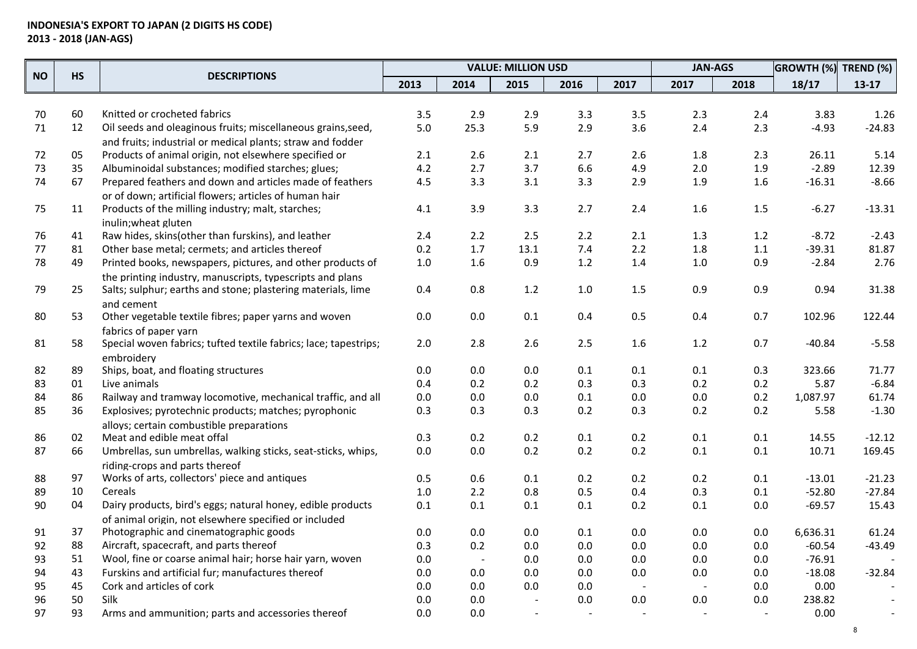|           |           |                                                                  |         |         | <b>VALUE: MILLION USD</b> |         |         | <b>JAN-AGS</b> |                | GROWTH (%) TREND (%) |           |
|-----------|-----------|------------------------------------------------------------------|---------|---------|---------------------------|---------|---------|----------------|----------------|----------------------|-----------|
| <b>NO</b> | <b>HS</b> | <b>DESCRIPTIONS</b>                                              | 2013    | 2014    | 2015                      | 2016    | 2017    | 2017           | 2018           | 18/17                | $13 - 17$ |
|           |           |                                                                  |         |         |                           |         |         |                |                |                      |           |
| 70        | 60        | Knitted or crocheted fabrics                                     | 3.5     | 2.9     | 2.9                       | 3.3     | 3.5     | 2.3            | 2.4            | 3.83                 | 1.26      |
| 71        | 12        | Oil seeds and oleaginous fruits; miscellaneous grains, seed,     | 5.0     | 25.3    | 5.9                       | 2.9     | 3.6     | 2.4            | 2.3            | $-4.93$              | $-24.83$  |
|           |           | and fruits; industrial or medical plants; straw and fodder       |         |         |                           |         |         |                |                |                      |           |
| 72        | 05        | Products of animal origin, not elsewhere specified or            | 2.1     | 2.6     | 2.1                       | 2.7     | 2.6     | 1.8            | 2.3            | 26.11                | 5.14      |
| 73        | 35        | Albuminoidal substances; modified starches; glues;               | 4.2     | 2.7     | 3.7                       | 6.6     | 4.9     | 2.0            | 1.9            | $-2.89$              | 12.39     |
| 74        | 67        | Prepared feathers and down and articles made of feathers         | 4.5     | 3.3     | 3.1                       | 3.3     | 2.9     | 1.9            | 1.6            | $-16.31$             | $-8.66$   |
|           |           | or of down; artificial flowers; articles of human hair           |         |         |                           |         |         |                |                |                      |           |
| 75        | 11        | Products of the milling industry; malt, starches;                | 4.1     | 3.9     | 3.3                       | 2.7     | 2.4     | 1.6            | 1.5            | $-6.27$              | $-13.31$  |
|           |           | inulin; wheat gluten                                             |         |         |                           |         |         |                |                |                      |           |
| 76        | 41        | Raw hides, skins(other than furskins), and leather               | 2.4     | 2.2     | 2.5                       | 2.2     | 2.1     | 1.3            | 1.2            | $-8.72$              | $-2.43$   |
| 77        | 81        | Other base metal; cermets; and articles thereof                  | 0.2     | 1.7     | 13.1                      | 7.4     | 2.2     | 1.8            | 1.1            | $-39.31$             | 81.87     |
| 78        | 49        | Printed books, newspapers, pictures, and other products of       | $1.0\,$ | 1.6     | 0.9                       | $1.2\,$ | 1.4     | $1.0\,$        | 0.9            | $-2.84$              | 2.76      |
|           |           | the printing industry, manuscripts, typescripts and plans        |         |         |                           |         |         |                |                |                      |           |
| 79        | 25        | Salts; sulphur; earths and stone; plastering materials, lime     | 0.4     | 0.8     | 1.2                       | 1.0     | 1.5     | 0.9            | 0.9            | 0.94                 | 31.38     |
|           |           | and cement                                                       |         |         |                           |         |         |                |                |                      |           |
| 80        | 53        | Other vegetable textile fibres; paper yarns and woven            | $0.0\,$ | 0.0     | 0.1                       | 0.4     | 0.5     | 0.4            | 0.7            | 102.96               | 122.44    |
|           |           | fabrics of paper yarn                                            |         |         |                           |         |         |                |                |                      |           |
| 81        | 58        | Special woven fabrics; tufted textile fabrics; lace; tapestrips; | $2.0\,$ | 2.8     | 2.6                       | $2.5$   | $1.6\,$ | $1.2\,$        | 0.7            | $-40.84$             | $-5.58$   |
|           |           | embroidery                                                       |         |         |                           |         |         |                |                |                      |           |
| 82        | 89        | Ships, boat, and floating structures                             | 0.0     | 0.0     | 0.0                       | 0.1     | 0.1     | 0.1            | 0.3            | 323.66               | 71.77     |
| 83        | 01        | Live animals                                                     | 0.4     | 0.2     | 0.2                       | 0.3     | 0.3     | 0.2            | 0.2            | 5.87                 | $-6.84$   |
| 84        | 86        | Railway and tramway locomotive, mechanical traffic, and all      | $0.0\,$ | 0.0     | 0.0                       | $0.1\,$ | 0.0     | $0.0\,$        | 0.2            | 1,087.97             | 61.74     |
| 85        | 36        | Explosives; pyrotechnic products; matches; pyrophonic            | 0.3     | 0.3     | 0.3                       | 0.2     | 0.3     | 0.2            | 0.2            | 5.58                 | $-1.30$   |
|           |           | alloys; certain combustible preparations                         |         |         |                           |         |         |                |                |                      |           |
| 86        | 02        | Meat and edible meat offal                                       | 0.3     | 0.2     | 0.2                       | $0.1\,$ | 0.2     | 0.1            | 0.1            | 14.55                | $-12.12$  |
| 87        | 66        | Umbrellas, sun umbrellas, walking sticks, seat-sticks, whips,    | 0.0     | 0.0     | 0.2                       | 0.2     | 0.2     | 0.1            | 0.1            | 10.71                | 169.45    |
|           |           | riding-crops and parts thereof                                   |         |         |                           |         |         |                |                |                      |           |
| 88        | 97        | Works of arts, collectors' piece and antiques                    | 0.5     | 0.6     | 0.1                       | 0.2     | 0.2     | 0.2            | 0.1            | $-13.01$             | $-21.23$  |
| 89        | 10        | Cereals                                                          | $1.0$   | 2.2     | 0.8                       | 0.5     | 0.4     | 0.3            | 0.1            | $-52.80$             | $-27.84$  |
| 90        | 04        | Dairy products, bird's eggs; natural honey, edible products      | 0.1     | 0.1     | 0.1                       | 0.1     | 0.2     | 0.1            | 0.0            | $-69.57$             | 15.43     |
|           |           | of animal origin, not elsewhere specified or included            |         |         |                           |         |         |                |                |                      |           |
| 91        | 37        | Photographic and cinematographic goods                           | $0.0\,$ | 0.0     | 0.0                       | $0.1\,$ | 0.0     | $0.0\,$        | 0.0            | 6,636.31             | 61.24     |
| 92        | 88        | Aircraft, spacecraft, and parts thereof                          | 0.3     | 0.2     | 0.0                       | 0.0     | 0.0     | 0.0            | 0.0            | $-60.54$             | $-43.49$  |
| 93        | 51        | Wool, fine or coarse animal hair; horse hair yarn, woven         | 0.0     | $\sim$  | 0.0                       | $0.0\,$ | 0.0     | 0.0            | 0.0            | $-76.91$             |           |
| 94        | 43        | Furskins and artificial fur; manufactures thereof                | 0.0     | 0.0     | 0.0                       | 0.0     | 0.0     | 0.0            | 0.0            | $-18.08$             | $-32.84$  |
| 95        | 45        | Cork and articles of cork                                        | 0.0     | 0.0     | 0.0                       | 0.0     | $\sim$  | $\sim$         | 0.0            | 0.00                 |           |
| 96        | 50        | Silk                                                             | 0.0     | $0.0\,$ |                           | $0.0\,$ | 0.0     | $0.0\,$        | 0.0            | 238.82               |           |
| 97        | 93        | Arms and ammunition; parts and accessories thereof               | 0.0     | 0.0     |                           |         |         |                | $\blacksquare$ | 0.00                 | $\sim$    |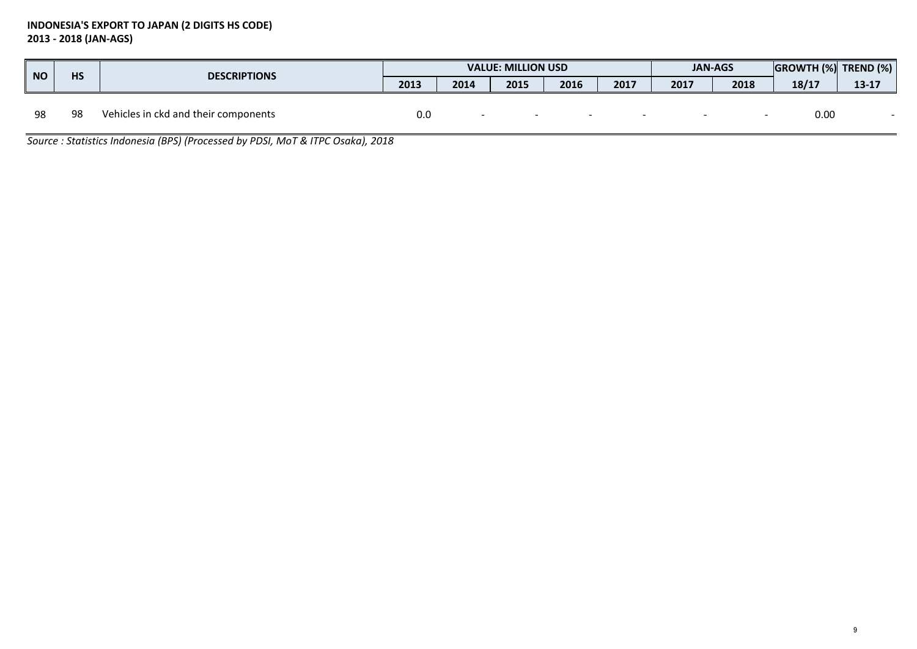| <b>NO</b> | <b>HS</b> | <b>DESCRIPTIONS</b>                  |      |      | <b>VALUE: MILLION USD</b> |      |      |      | <b>JAN-AGS</b> | $ GROWTH \$ TREND $\%$ |           |
|-----------|-----------|--------------------------------------|------|------|---------------------------|------|------|------|----------------|------------------------|-----------|
|           |           |                                      | 2013 | 2014 | 2015                      | 2016 | 2017 | 2017 | 2018           | 18/17                  | $13 - 17$ |
| 98        | 98        | Vehicles in ckd and their components | 0.0  |      |                           |      |      |      |                | 0.00                   |           |
|           |           |                                      |      |      |                           |      |      |      |                |                        |           |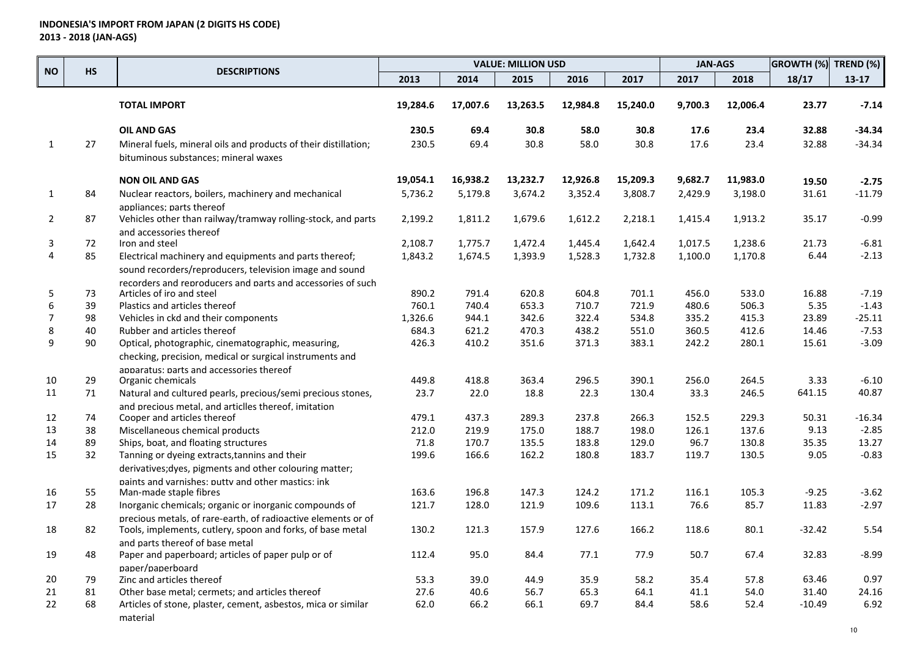|                     |           |                                                                                  |                  |                | <b>VALUE: MILLION USD</b> |                |                | <b>JAN-AGS</b> |                | <b>GROWTH (%)</b> | TREND (%)          |
|---------------------|-----------|----------------------------------------------------------------------------------|------------------|----------------|---------------------------|----------------|----------------|----------------|----------------|-------------------|--------------------|
| <b>NO</b>           | <b>HS</b> | <b>DESCRIPTIONS</b>                                                              | 2013             | 2014           | 2015                      | 2016           | 2017           | 2017           | 2018           | 18/17             | $13-17$            |
|                     |           | <b>TOTAL IMPORT</b>                                                              | 19,284.6         | 17,007.6       | 13,263.5                  | 12,984.8       | 15,240.0       | 9,700.3        | 12,006.4       | 23.77             | $-7.14$            |
|                     |           | <b>OIL AND GAS</b>                                                               | 230.5            | 69.4           | 30.8                      | 58.0           | 30.8           | 17.6           | 23.4           | 32.88             | $-34.34$           |
| 1                   | 27        | Mineral fuels, mineral oils and products of their distillation;                  | 230.5            | 69.4           | 30.8                      | 58.0           | 30.8           | 17.6           | 23.4           | 32.88             | $-34.34$           |
|                     |           | bituminous substances: mineral waxes                                             |                  |                |                           |                |                |                |                |                   |                    |
|                     |           | <b>NON OIL AND GAS</b>                                                           | 19,054.1         | 16,938.2       | 13,232.7                  | 12,926.8       | 15,209.3       | 9,682.7        | 11,983.0       | 19.50             | $-2.75$            |
| $\mathbf{1}$        | 84        | Nuclear reactors, boilers, machinery and mechanical<br>appliances: parts thereof | 5,736.2          | 5,179.8        | 3,674.2                   | 3,352.4        | 3,808.7        | 2,429.9        | 3,198.0        | 31.61             | $-11.79$           |
| $\overline{2}$      | 87        | Vehicles other than railway/tramway rolling-stock, and parts                     | 2,199.2          | 1,811.2        | 1,679.6                   | 1,612.2        | 2,218.1        | 1,415.4        | 1,913.2        | 35.17             | $-0.99$            |
|                     |           | and accessories thereof                                                          |                  |                |                           |                |                |                |                |                   |                    |
| 3                   | 72        | Iron and steel                                                                   | 2,108.7          | 1,775.7        | 1,472.4                   | 1,445.4        | 1,642.4        | 1,017.5        | 1,238.6        | 21.73             | $-6.81$            |
| 4                   | 85        | Electrical machinery and equipments and parts thereof;                           | 1,843.2          | 1,674.5        | 1,393.9                   | 1,528.3        | 1,732.8        | 1,100.0        | 1,170.8        | 6.44              | $-2.13$            |
|                     |           | sound recorders/reproducers, television image and sound                          |                  |                |                           |                |                |                |                |                   |                    |
|                     |           | recorders and reproducers and parts and accessories of such                      |                  |                |                           |                |                |                |                |                   |                    |
| 5                   | 73<br>39  | Articles of iro and steel                                                        | 890.2<br>760.1   | 791.4          | 620.8<br>653.3            | 604.8          | 701.1<br>721.9 | 456.0          | 533.0<br>506.3 | 16.88             | $-7.19$<br>$-1.43$ |
| 6<br>$\overline{7}$ | 98        | Plastics and articles thereof                                                    |                  | 740.4          |                           | 710.7          |                | 480.6          | 415.3          | 5.35              | $-25.11$           |
| 8                   | 40        | Vehicles in ckd and their components<br>Rubber and articles thereof              | 1,326.6<br>684.3 | 944.1<br>621.2 | 342.6<br>470.3            | 322.4<br>438.2 | 534.8<br>551.0 | 335.2<br>360.5 | 412.6          | 23.89<br>14.46    | $-7.53$            |
| 9                   | 90        | Optical, photographic, cinematographic, measuring,                               | 426.3            | 410.2          | 351.6                     | 371.3          | 383.1          | 242.2          | 280.1          | 15.61             | $-3.09$            |
|                     |           | checking, precision, medical or surgical instruments and                         |                  |                |                           |                |                |                |                |                   |                    |
| 10                  | 29        | apparatus: parts and accessories thereof<br>Organic chemicals                    | 449.8            | 418.8          | 363.4                     | 296.5          | 390.1          | 256.0          | 264.5          | 3.33              | $-6.10$            |
| 11                  | 71        | Natural and cultured pearls, precious/semi precious stones,                      | 23.7             | 22.0           | 18.8                      | 22.3           | 130.4          | 33.3           | 246.5          | 641.15            | 40.87              |
|                     |           | and precious metal, and articlles thereof, imitation                             |                  |                |                           |                |                |                |                |                   |                    |
| 12                  | 74        | Cooper and articles thereof                                                      | 479.1            | 437.3          | 289.3                     | 237.8          | 266.3          | 152.5          | 229.3          | 50.31             | $-16.34$           |
| 13                  | 38        | Miscellaneous chemical products                                                  | 212.0            | 219.9          | 175.0                     | 188.7          | 198.0          | 126.1          | 137.6          | 9.13              | $-2.85$            |
| 14                  | 89        | Ships, boat, and floating structures                                             | 71.8             | 170.7          | 135.5                     | 183.8          | 129.0          | 96.7           | 130.8          | 35.35             | 13.27<br>$-0.83$   |
| 15                  | 32        | Tanning or dyeing extracts, tannins and their                                    | 199.6            | 166.6          | 162.2                     | 180.8          | 183.7          | 119.7          | 130.5          | 9.05              |                    |
|                     |           | derivatives; dyes, pigments and other colouring matter;                          |                  |                |                           |                |                |                |                |                   |                    |
| 16                  | 55        | paints and varnishes: putty and other mastics: ink<br>Man-made staple fibres     | 163.6            | 196.8          | 147.3                     | 124.2          | 171.2          | 116.1          | 105.3          | $-9.25$           | $-3.62$            |
| 17                  | 28        | Inorganic chemicals; organic or inorganic compounds of                           | 121.7            | 128.0          | 121.9                     | 109.6          | 113.1          | 76.6           | 85.7           | 11.83             | $-2.97$            |
|                     |           | precious metals, of rare-earth, of radioactive elements or of                    |                  |                |                           |                |                |                |                |                   |                    |
| 18                  | 82        | Tools, implements, cutlery, spoon and forks, of base metal                       | 130.2            | 121.3          | 157.9                     | 127.6          | 166.2          | 118.6          | 80.1           | $-32.42$          | 5.54               |
|                     |           | and parts thereof of base metal                                                  |                  |                |                           |                |                |                |                |                   |                    |
| 19                  | 48        | Paper and paperboard; articles of paper pulp or of                               | 112.4            | 95.0           | 84.4                      | 77.1           | 77.9           | 50.7           | 67.4           | 32.83             | $-8.99$            |
|                     |           | paper/paperboard                                                                 |                  |                |                           |                |                |                |                |                   |                    |
| 20                  | 79        | Zinc and articles thereof                                                        | 53.3             | 39.0           | 44.9                      | 35.9           | 58.2           | 35.4           | 57.8           | 63.46             | 0.97               |
| 21                  | 81        | Other base metal; cermets; and articles thereof                                  | 27.6             | 40.6           | 56.7                      | 65.3           | 64.1           | 41.1           | 54.0           | 31.40             | 24.16              |
| 22                  | 68        | Articles of stone, plaster, cement, asbestos, mica or similar                    | 62.0             | 66.2           | 66.1                      | 69.7           | 84.4           | 58.6           | 52.4           | $-10.49$          | 6.92               |
|                     |           | material                                                                         |                  |                |                           |                |                |                |                |                   |                    |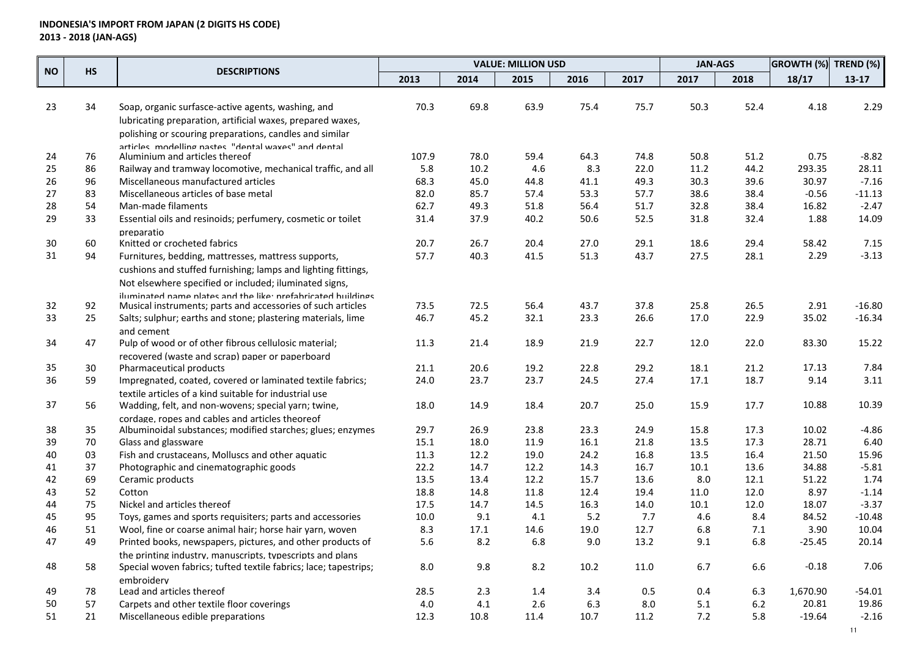|           |           |                                                                                                               |              |              | <b>VALUE: MILLION USD</b> |             |              | <b>JAN-AGS</b> |              | <b>GROWTH (%)</b> | TREND (%)        |
|-----------|-----------|---------------------------------------------------------------------------------------------------------------|--------------|--------------|---------------------------|-------------|--------------|----------------|--------------|-------------------|------------------|
| <b>NO</b> | <b>HS</b> | <b>DESCRIPTIONS</b>                                                                                           | 2013         | 2014         | 2015                      | 2016        | 2017         | 2017           | 2018         | 18/17             | $13-17$          |
|           |           |                                                                                                               |              |              |                           |             |              |                |              |                   |                  |
| 23        | 34        | Soap, organic surfasce-active agents, washing, and                                                            | 70.3         | 69.8         | 63.9                      | 75.4        | 75.7         | 50.3           | 52.4         | 4.18              | 2.29             |
|           |           | lubricating preparation, artificial waxes, prepared waxes,                                                    |              |              |                           |             |              |                |              |                   |                  |
|           |           | polishing or scouring preparations, candles and similar                                                       |              |              |                           |             |              |                |              |                   |                  |
|           |           | articles modelling nastes "dental waves" and dental                                                           |              |              |                           |             |              |                |              |                   |                  |
| 24        | 76<br>86  | Aluminium and articles thereof                                                                                | 107.9<br>5.8 | 78.0<br>10.2 | 59.4<br>4.6               | 64.3<br>8.3 | 74.8<br>22.0 | 50.8<br>11.2   | 51.2<br>44.2 | 0.75<br>293.35    | $-8.82$<br>28.11 |
| 25<br>26  | 96        | Railway and tramway locomotive, mechanical traffic, and all<br>Miscellaneous manufactured articles            | 68.3         | 45.0         | 44.8                      | 41.1        | 49.3         | 30.3           | 39.6         | 30.97             | $-7.16$          |
| 27        | 83        | Miscellaneous articles of base metal                                                                          | 82.0         | 85.7         | 57.4                      | 53.3        | 57.7         | 38.6           | 38.4         | $-0.56$           | $-11.13$         |
| 28        | 54        | Man-made filaments                                                                                            | 62.7         | 49.3         | 51.8                      | 56.4        | 51.7         | 32.8           | 38.4         | 16.82             | $-2.47$          |
| 29        | 33        | Essential oils and resinoids; perfumery, cosmetic or toilet                                                   | 31.4         | 37.9         | 40.2                      | 50.6        | 52.5         | 31.8           | 32.4         | 1.88              | 14.09            |
|           |           | preparatio                                                                                                    |              |              |                           |             |              |                |              |                   |                  |
| 30        | 60        | Knitted or crocheted fabrics                                                                                  | 20.7         | 26.7         | 20.4                      | 27.0        | 29.1         | 18.6           | 29.4         | 58.42             | 7.15             |
| 31        | 94        | Furnitures, bedding, mattresses, mattress supports,                                                           | 57.7         | 40.3         | 41.5                      | 51.3        | 43.7         | 27.5           | 28.1         | 2.29              | $-3.13$          |
|           |           | cushions and stuffed furnishing; lamps and lighting fittings,                                                 |              |              |                           |             |              |                |              |                   |                  |
|           |           | Not elsewhere specified or included; iluminated signs,                                                        |              |              |                           |             |              |                |              |                   |                  |
|           |           | iluminated name nlates and the like: prefahricated huildings                                                  |              |              |                           |             |              |                |              |                   |                  |
| 32        | 92        | Musical instruments; parts and accessories of such articles                                                   | 73.5         | 72.5         | 56.4                      | 43.7        | 37.8         | 25.8           | 26.5         | 2.91              | $-16.80$         |
| 33        | 25        | Salts; sulphur; earths and stone; plastering materials, lime                                                  | 46.7         | 45.2         | 32.1                      | 23.3        | 26.6         | 17.0           | 22.9         | 35.02             | $-16.34$         |
|           |           | and cement                                                                                                    |              |              |                           |             |              |                |              |                   |                  |
| 34        | 47        | Pulp of wood or of other fibrous cellulosic material;                                                         | 11.3         | 21.4         | 18.9                      | 21.9        | 22.7         | 12.0           | 22.0         | 83.30             | 15.22            |
|           |           | recovered (waste and scrap) paper or paperboard                                                               |              |              |                           |             |              |                |              |                   |                  |
| 35        | 30        | Pharmaceutical products                                                                                       | 21.1         | 20.6         | 19.2                      | 22.8        | 29.2         | 18.1           | 21.2         | 17.13             | 7.84             |
| 36        | 59        | Impregnated, coated, covered or laminated textile fabrics;                                                    | 24.0         | 23.7         | 23.7                      | 24.5        | 27.4         | 17.1           | 18.7         | 9.14              | 3.11             |
|           |           | textile articles of a kind suitable for industrial use                                                        |              |              |                           |             |              |                |              |                   |                  |
| 37        | 56        | Wadding, felt, and non-wovens; special yarn; twine,                                                           | 18.0         | 14.9         | 18.4                      | 20.7        | 25.0         | 15.9           | 17.7         | 10.88             | 10.39            |
|           |           | cordage, ropes and cables and articles theoreof<br>Albuminoidal substances; modified starches; glues; enzymes | 29.7         | 26.9         | 23.8                      | 23.3        | 24.9         | 15.8           | 17.3         | 10.02             | $-4.86$          |
| 38<br>39  | 35<br>70  | Glass and glassware                                                                                           | 15.1         | 18.0         | 11.9                      | 16.1        | 21.8         | 13.5           | 17.3         | 28.71             | 6.40             |
| 40        | 03        | Fish and crustaceans, Molluscs and other aquatic                                                              | 11.3         | 12.2         | 19.0                      | 24.2        | 16.8         | 13.5           | 16.4         | 21.50             | 15.96            |
| 41        | 37        | Photographic and cinematographic goods                                                                        | 22.2         | 14.7         | 12.2                      | 14.3        | 16.7         | 10.1           | 13.6         | 34.88             | $-5.81$          |
| 42        | 69        | Ceramic products                                                                                              | 13.5         | 13.4         | 12.2                      | 15.7        | 13.6         | 8.0            | 12.1         | 51.22             | 1.74             |
| 43        | 52        | Cotton                                                                                                        | 18.8         | 14.8         | 11.8                      | 12.4        | 19.4         | 11.0           | 12.0         | 8.97              | $-1.14$          |
| 44        | 75        | Nickel and articles thereof                                                                                   | 17.5         | 14.7         | 14.5                      | 16.3        | 14.0         | $10.1\,$       | 12.0         | 18.07             | $-3.37$          |
| 45        | 95        | Toys, games and sports requisiters; parts and accessories                                                     | 10.0         | 9.1          | 4.1                       | 5.2         | 7.7          | 4.6            | 8.4          | 84.52             | $-10.48$         |
| 46        | 51        | Wool, fine or coarse animal hair; horse hair yarn, woven                                                      | 8.3          | 17.1         | 14.6                      | 19.0        | 12.7         | 6.8            | $7.1\,$      | 3.90              | 10.04            |
| 47        | 49        | Printed books, newspapers, pictures, and other products of                                                    | 5.6          | 8.2          | 6.8                       | 9.0         | 13.2         | 9.1            | 6.8          | $-25.45$          | 20.14            |
|           |           | the printing industry, manuscripts, typescripts and plans                                                     |              |              |                           |             |              |                |              |                   |                  |
| 48        | 58        | Special woven fabrics; tufted textile fabrics; lace; tapestrips;                                              | 8.0          | 9.8          | 8.2                       | 10.2        | 11.0         | 6.7            | 6.6          | $-0.18$           | 7.06             |
|           |           | embroiderv                                                                                                    |              |              |                           |             |              |                |              |                   |                  |
| 49        | 78        | Lead and articles thereof                                                                                     | 28.5         | 2.3          | 1.4                       | 3.4         | 0.5          | 0.4            | 6.3          | 1,670.90          | $-54.01$         |
| 50        | 57        | Carpets and other textile floor coverings                                                                     | 4.0          | 4.1          | 2.6                       | 6.3         | 8.0          | 5.1            | 6.2          | 20.81             | 19.86            |
| 51        | 21        | Miscellaneous edible preparations                                                                             | 12.3         | 10.8         | 11.4                      | 10.7        | 11.2         | 7.2            | 5.8          | $-19.64$          | $-2.16$          |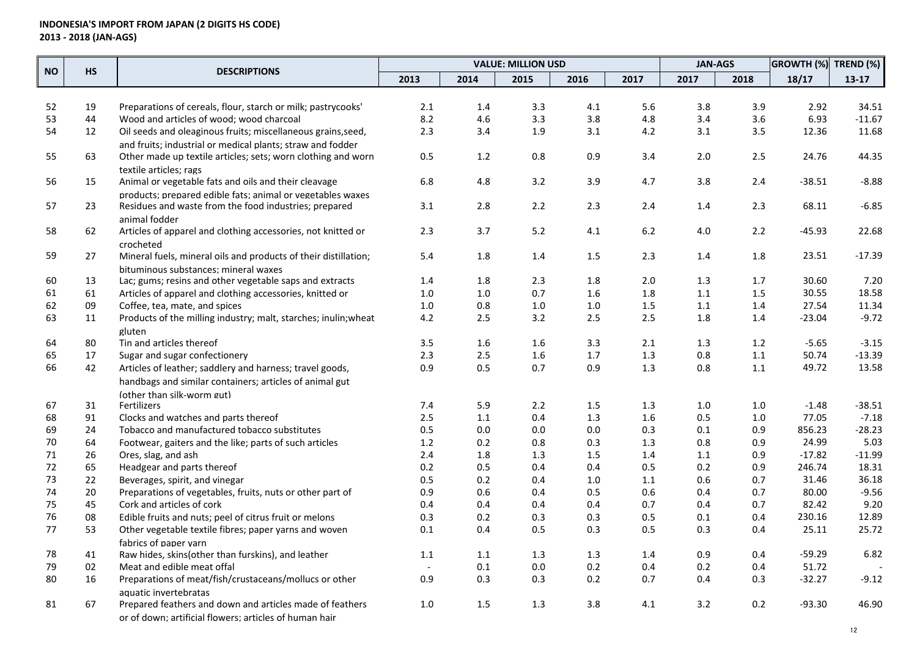|           | HS<br><b>DESCRIPTIONS</b> |                                                                 |         | <b>VALUE: MILLION USD</b> |         |         | <b>JAN-AGS</b> |       | GROWTH (%) TREND (%) |          |          |
|-----------|---------------------------|-----------------------------------------------------------------|---------|---------------------------|---------|---------|----------------|-------|----------------------|----------|----------|
| <b>NO</b> |                           |                                                                 | 2013    | 2014                      | 2015    | 2016    | 2017           | 2017  | 2018                 | 18/17    | $13-17$  |
|           |                           |                                                                 |         |                           |         |         |                |       |                      |          |          |
| 52        | 19                        | Preparations of cereals, flour, starch or milk; pastrycooks'    | 2.1     | 1.4                       | 3.3     | 4.1     | 5.6            | 3.8   | 3.9                  | 2.92     | 34.51    |
| 53        | 44                        | Wood and articles of wood; wood charcoal                        | 8.2     | 4.6                       | 3.3     | 3.8     | 4.8            | 3.4   | 3.6                  | 6.93     | $-11.67$ |
| 54        | 12                        | Oil seeds and oleaginous fruits; miscellaneous grains, seed,    | 2.3     | 3.4                       | 1.9     | 3.1     | 4.2            | 3.1   | 3.5                  | 12.36    | 11.68    |
|           |                           | and fruits; industrial or medical plants; straw and fodder      |         |                           |         |         |                |       |                      |          |          |
| 55        | 63                        | Other made up textile articles; sets; worn clothing and worn    | 0.5     | $1.2\,$                   | 0.8     | 0.9     | 3.4            | $2.0$ | 2.5                  | 24.76    | 44.35    |
|           |                           | textile articles; rags                                          |         |                           |         |         |                |       |                      |          |          |
| 56        | 15                        | Animal or vegetable fats and oils and their cleavage            | 6.8     | 4.8                       | 3.2     | 3.9     | 4.7            | 3.8   | 2.4                  | $-38.51$ | $-8.88$  |
|           |                           | products; prepared edible fats; animal or vegetables waxes      |         |                           |         |         |                |       |                      |          |          |
| 57        | 23                        | Residues and waste from the food industries; prepared           | 3.1     | 2.8                       | $2.2\,$ | 2.3     | 2.4            | 1.4   | 2.3                  | 68.11    | $-6.85$  |
|           |                           | animal fodder                                                   |         |                           |         |         |                |       |                      |          |          |
| 58        | 62                        | Articles of apparel and clothing accessories, not knitted or    | 2.3     | 3.7                       | $5.2$   | 4.1     | $6.2\,$        | 4.0   | 2.2                  | $-45.93$ | 22.68    |
|           |                           | crocheted                                                       |         |                           |         |         |                |       |                      |          |          |
| 59        | 27                        | Mineral fuels, mineral oils and products of their distillation; | 5.4     | 1.8                       | 1.4     | 1.5     | 2.3            | 1.4   | 1.8                  | 23.51    | $-17.39$ |
|           |                           | bituminous substances; mineral waxes                            |         |                           |         |         |                |       |                      |          |          |
| 60        | 13                        | Lac; gums; resins and other vegetable saps and extracts         | 1.4     | 1.8                       | 2.3     | 1.8     | 2.0            | 1.3   | 1.7                  | 30.60    | 7.20     |
| 61        | 61                        | Articles of apparel and clothing accessories, knitted or        | 1.0     | 1.0                       | 0.7     | 1.6     | 1.8            | 1.1   | 1.5                  | 30.55    | 18.58    |
| 62        | 09                        | Coffee, tea, mate, and spices                                   | 1.0     | 0.8                       | $1.0\,$ | $1.0\,$ | 1.5            | 1.1   | $1.4\,$              | 27.54    | 11.34    |
| 63        | 11                        | Products of the milling industry; malt, starches; inulin; wheat | 4.2     | 2.5                       | 3.2     | 2.5     | 2.5            | 1.8   | 1.4                  | $-23.04$ | $-9.72$  |
|           |                           | gluten                                                          |         |                           |         |         |                |       |                      |          |          |
| 64        | 80                        | Tin and articles thereof                                        | 3.5     | 1.6                       | 1.6     | 3.3     | 2.1            | 1.3   | $1.2\,$              | $-5.65$  | $-3.15$  |
| 65        | 17                        | Sugar and sugar confectionery                                   | 2.3     | 2.5                       | 1.6     | 1.7     | 1.3            | 0.8   | $1.1\,$              | 50.74    | $-13.39$ |
| 66        | 42                        | Articles of leather; saddlery and harness; travel goods,        | 0.9     | 0.5                       | 0.7     | 0.9     | 1.3            | 0.8   | $1.1\,$              | 49.72    | 13.58    |
|           |                           | handbags and similar containers; articles of animal gut         |         |                           |         |         |                |       |                      |          |          |
|           |                           | (other than silk-worm gut)                                      |         |                           |         |         |                |       |                      |          |          |
| 67        | 31                        | Fertilizers                                                     | 7.4     | 5.9                       | 2.2     | $1.5\,$ | 1.3            | 1.0   | 1.0                  | $-1.48$  | $-38.51$ |
| 68        | 91                        | Clocks and watches and parts thereof                            | 2.5     | 1.1                       | 0.4     | 1.3     | 1.6            | 0.5   | 1.0                  | 77.05    | $-7.18$  |
| 69        | 24                        | Tobacco and manufactured tobacco substitutes                    | 0.5     | 0.0                       | $0.0\,$ | 0.0     | 0.3            | 0.1   | 0.9                  | 856.23   | $-28.23$ |
| 70        | 64                        | Footwear, gaiters and the like; parts of such articles          | $1.2\,$ | 0.2                       | 0.8     | 0.3     | 1.3            | 0.8   | 0.9                  | 24.99    | 5.03     |
| 71        | 26                        | Ores, slag, and ash                                             | 2.4     | 1.8                       | 1.3     | 1.5     | 1.4            | 1.1   | 0.9                  | $-17.82$ | $-11.99$ |
| 72        | 65                        | Headgear and parts thereof                                      | 0.2     | 0.5                       | 0.4     | 0.4     | 0.5            | 0.2   | 0.9                  | 246.74   | 18.31    |
| 73        | 22                        | Beverages, spirit, and vinegar                                  | 0.5     | 0.2                       | 0.4     | $1.0\,$ | 1.1            | 0.6   | 0.7                  | 31.46    | 36.18    |
| 74        | 20                        | Preparations of vegetables, fruits, nuts or other part of       | 0.9     | 0.6                       | 0.4     | 0.5     | 0.6            | 0.4   | 0.7                  | 80.00    | $-9.56$  |
| 75        | 45                        | Cork and articles of cork                                       | 0.4     | 0.4                       | 0.4     | 0.4     | 0.7            | 0.4   | 0.7                  | 82.42    | 9.20     |
| 76        | 08                        | Edible fruits and nuts; peel of citrus fruit or melons          | 0.3     | 0.2                       | 0.3     | 0.3     | 0.5            | 0.1   | 0.4                  | 230.16   | 12.89    |
| 77        | 53                        | Other vegetable textile fibres; paper yarns and woven           | 0.1     | 0.4                       | 0.5     | 0.3     | 0.5            | 0.3   | 0.4                  | 25.11    | 25.72    |
|           |                           | fabrics of paper varn                                           |         |                           |         |         |                |       |                      |          |          |
| 78        | 41                        | Raw hides, skins(other than furskins), and leather              | 1.1     | 1.1                       | 1.3     | 1.3     | 1.4            | 0.9   | 0.4                  | $-59.29$ | 6.82     |
| 79        | 02                        | Meat and edible meat offal                                      |         | 0.1                       | $0.0\,$ | 0.2     | 0.4            | 0.2   | 0.4                  | 51.72    |          |
| 80        | 16                        | Preparations of meat/fish/crustaceans/mollucs or other          | 0.9     | 0.3                       | 0.3     | 0.2     | 0.7            | 0.4   | 0.3                  | $-32.27$ | $-9.12$  |
|           |                           | aquatic invertebratas                                           |         |                           |         |         |                |       |                      |          |          |
| 81        | 67                        | Prepared feathers and down and articles made of feathers        | 1.0     | 1.5                       | 1.3     | 3.8     | 4.1            | 3.2   | 0.2                  | $-93.30$ | 46.90    |
|           |                           | or of down; artificial flowers; articles of human hair          |         |                           |         |         |                |       |                      |          |          |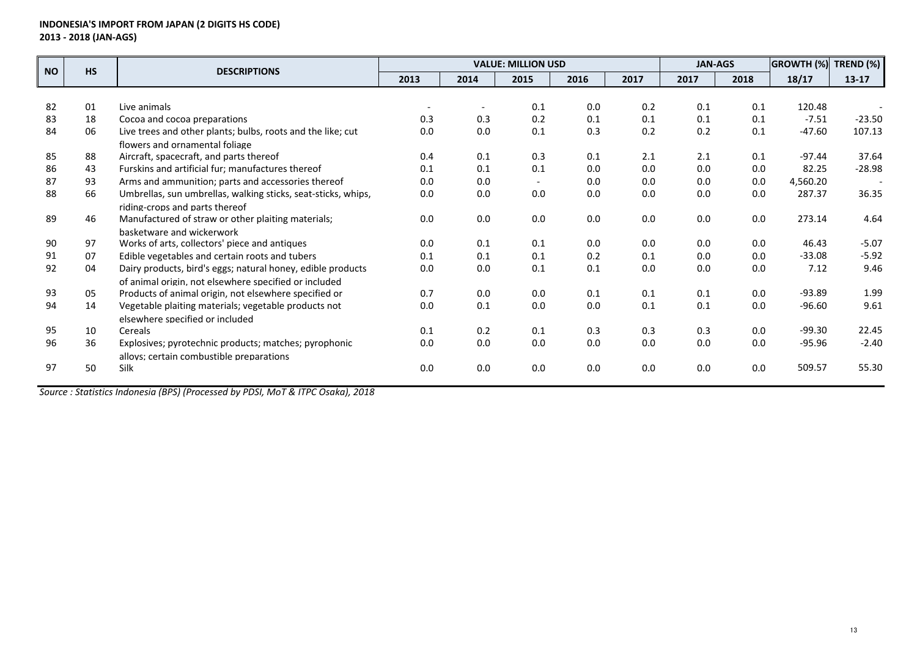| <b>NO</b> | <b>HS</b> | <b>DESCRIPTIONS</b>                                           |      | <b>VALUE: MILLION USD</b> |                          |      | <b>JAN-AGS</b> |      | <b>GROWTH (%)</b> | TREND (%) |          |
|-----------|-----------|---------------------------------------------------------------|------|---------------------------|--------------------------|------|----------------|------|-------------------|-----------|----------|
|           |           |                                                               | 2013 | 2014                      | 2015                     | 2016 | 2017           | 2017 | 2018              | 18/17     | $13-17$  |
|           |           |                                                               |      |                           |                          |      |                |      |                   |           |          |
| 82        | 01        | Live animals                                                  |      |                           | 0.1                      | 0.0  | 0.2            | 0.1  | 0.1               | 120.48    |          |
| 83        | 18        | Cocoa and cocoa preparations                                  | 0.3  | 0.3                       | 0.2                      | 0.1  | 0.1            | 0.1  | 0.1               | $-7.51$   | $-23.50$ |
| 84        | 06        | Live trees and other plants; bulbs, roots and the like; cut   | 0.0  | 0.0                       | 0.1                      | 0.3  | 0.2            | 0.2  | 0.1               | $-47.60$  | 107.13   |
|           |           | flowers and ornamental foliage                                |      |                           |                          |      |                |      |                   |           |          |
| 85        | 88        | Aircraft, spacecraft, and parts thereof                       | 0.4  | 0.1                       | 0.3                      | 0.1  | 2.1            | 2.1  | 0.1               | $-97.44$  | 37.64    |
| 86        | 43        | Furskins and artificial fur; manufactures thereof             | 0.1  | 0.1                       | 0.1                      | 0.0  | 0.0            | 0.0  | 0.0               | 82.25     | $-28.98$ |
| 87        | 93        | Arms and ammunition; parts and accessories thereof            | 0.0  | 0.0                       | $\overline{\phantom{0}}$ | 0.0  | 0.0            | 0.0  | 0.0               | 4,560.20  |          |
| 88        | 66        | Umbrellas, sun umbrellas, walking sticks, seat-sticks, whips, | 0.0  | 0.0                       | 0.0                      | 0.0  | 0.0            | 0.0  | 0.0               | 287.37    | 36.35    |
|           |           | riding-crops and parts thereof                                |      |                           |                          |      |                |      |                   |           |          |
| 89        | 46        | Manufactured of straw or other plaiting materials;            | 0.0  | 0.0                       | 0.0                      | 0.0  | 0.0            | 0.0  | 0.0               | 273.14    | 4.64     |
|           |           | basketware and wickerwork                                     |      |                           |                          |      |                |      |                   |           |          |
| 90        | 97        | Works of arts, collectors' piece and antiques                 | 0.0  | 0.1                       | 0.1                      | 0.0  | 0.0            | 0.0  | 0.0               | 46.43     | $-5.07$  |
| 91        | 07        | Edible vegetables and certain roots and tubers                | 0.1  | 0.1                       | 0.1                      | 0.2  | 0.1            | 0.0  | 0.0               | $-33.08$  | $-5.92$  |
| 92        | 04        | Dairy products, bird's eggs; natural honey, edible products   | 0.0  | 0.0                       | 0.1                      | 0.1  | 0.0            | 0.0  | 0.0               | 7.12      | 9.46     |
|           |           | of animal origin, not elsewhere specified or included         |      |                           |                          |      |                |      |                   |           |          |
| 93        | 05        | Products of animal origin, not elsewhere specified or         | 0.7  | 0.0                       | 0.0                      | 0.1  | 0.1            | 0.1  | 0.0               | $-93.89$  | 1.99     |
| 94        | 14        | Vegetable plaiting materials; vegetable products not          | 0.0  | 0.1                       | 0.0                      | 0.0  | 0.1            | 0.1  | 0.0               | $-96.60$  | 9.61     |
|           |           | elsewhere specified or included                               |      |                           |                          |      |                |      |                   |           |          |
| 95        | 10        | Cereals                                                       | 0.1  | 0.2                       | 0.1                      | 0.3  | 0.3            | 0.3  | 0.0               | $-99.30$  | 22.45    |
| 96        | 36        | Explosives; pyrotechnic products; matches; pyrophonic         | 0.0  | 0.0                       | 0.0                      | 0.0  | 0.0            | 0.0  | 0.0               | $-95.96$  | $-2.40$  |
|           |           | allovs: certain combustible preparations                      |      |                           |                          |      |                |      |                   |           |          |
| 97        | 50        | Silk                                                          | 0.0  | 0.0                       | 0.0                      | 0.0  | 0.0            | 0.0  | 0.0               | 509.57    | 55.30    |
|           |           |                                                               |      |                           |                          |      |                |      |                   |           |          |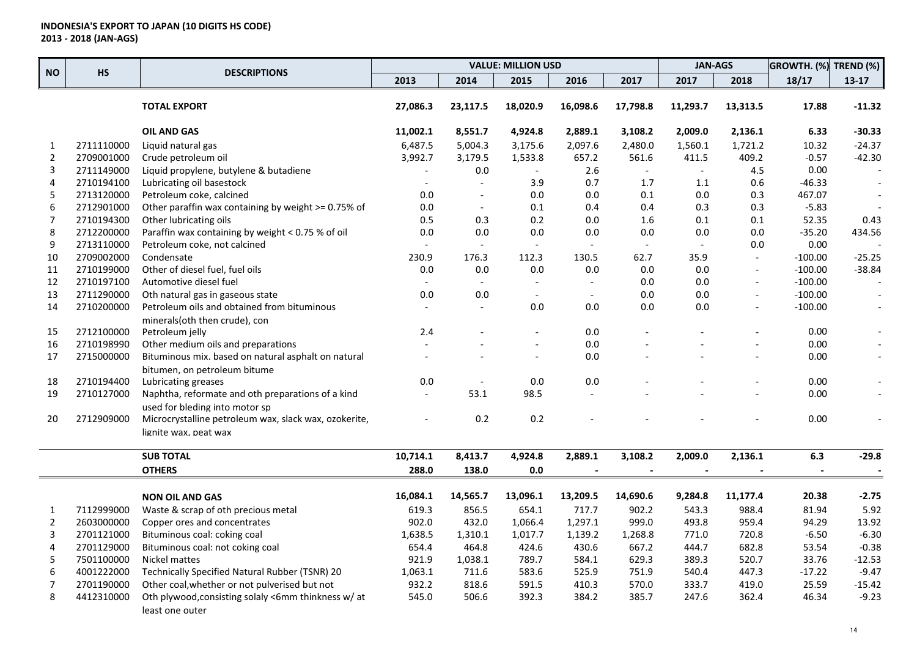| <b>NO</b>        | HS         | <b>DESCRIPTIONS</b>                                   |                          |                          | <b>VALUE: MILLION USD</b> |          |          | <b>JAN-AGS</b> |                          | GROWTH. (%) TREND (%) |                          |
|------------------|------------|-------------------------------------------------------|--------------------------|--------------------------|---------------------------|----------|----------|----------------|--------------------------|-----------------------|--------------------------|
|                  |            |                                                       | 2013                     | 2014                     | 2015                      | 2016     | 2017     | 2017           | 2018                     | 18/17                 | $13-17$                  |
|                  |            | <b>TOTAL EXPORT</b>                                   | 27,086.3                 | 23,117.5                 | 18,020.9                  | 16,098.6 | 17,798.8 | 11,293.7       | 13,313.5                 | 17.88                 | $-11.32$                 |
|                  |            | <b>OIL AND GAS</b>                                    | 11,002.1                 | 8,551.7                  | 4,924.8                   | 2,889.1  | 3,108.2  | 2,009.0        | 2,136.1                  | 6.33                  | -30.33                   |
| $\mathbf{1}$     | 2711110000 | Liquid natural gas                                    | 6,487.5                  | 5,004.3                  | 3,175.6                   | 2,097.6  | 2,480.0  | 1,560.1        | 1,721.2                  | 10.32                 | $-24.37$                 |
| $\overline{2}$   | 2709001000 | Crude petroleum oil                                   | 3,992.7                  | 3,179.5                  | 1,533.8                   | 657.2    | 561.6    | 411.5          | 409.2                    | $-0.57$               | $-42.30$                 |
| 3                | 2711149000 | Liquid propylene, butylene & butadiene                |                          | 0.0                      |                           | 2.6      |          |                | 4.5                      | 0.00                  |                          |
| 4                | 2710194100 | Lubricating oil basestock                             |                          | $\sim$                   | 3.9                       | 0.7      | 1.7      | 1.1            | 0.6                      | $-46.33$              |                          |
| 5                | 2713120000 | Petroleum coke, calcined                              | 0.0                      | $\sim$                   | 0.0                       | 0.0      | 0.1      | 0.0            | 0.3                      | 467.07                |                          |
| 6                | 2712901000 | Other paraffin wax containing by weight >= 0.75% of   | 0.0                      | $\blacksquare$           | 0.1                       | 0.4      | 0.4      | 0.3            | 0.3                      | $-5.83$               |                          |
| 7                | 2710194300 | Other lubricating oils                                | 0.5                      | 0.3                      | 0.2                       | 0.0      | 1.6      | 0.1            | 0.1                      | 52.35                 | 0.43                     |
| 8                | 2712200000 | Paraffin wax containing by weight < 0.75 % of oil     | 0.0                      | 0.0                      | 0.0                       | 0.0      | 0.0      | 0.0            | 0.0                      | $-35.20$              | 434.56                   |
| 9                | 2713110000 | Petroleum coke, not calcined                          |                          |                          |                           |          |          |                | 0.0                      | 0.00                  |                          |
| 10               | 2709002000 | Condensate                                            | 230.9                    | 176.3                    | 112.3                     | 130.5    | 62.7     | 35.9           | $\overline{\phantom{a}}$ | $-100.00$             | $-25.25$                 |
| 11               | 2710199000 | Other of diesel fuel, fuel oils                       | $0.0\,$                  | 0.0                      | 0.0                       | 0.0      | 0.0      | 0.0            | $\mathcal{L}$            | $-100.00$             | $-38.84$                 |
| 12               | 2710197100 | Automotive diesel fuel                                |                          | $\mathbf{r}$             | $\overline{a}$            |          | 0.0      | 0.0            | $\overline{\phantom{a}}$ | $-100.00$             |                          |
| 13               | 2711290000 | Oth natural gas in gaseous state                      | 0.0                      | 0.0                      | $\overline{a}$            |          | 0.0      | 0.0            | $\overline{\phantom{a}}$ | $-100.00$             |                          |
| 14               | 2710200000 | Petroleum oils and obtained from bituminous           | $\overline{\phantom{a}}$ | $\blacksquare$           | 0.0                       | 0.0      | 0.0      | 0.0            | $\overline{\phantom{a}}$ | $-100.00$             | $\overline{\phantom{a}}$ |
|                  |            | minerals(oth then crude), con                         |                          |                          |                           |          |          |                |                          |                       |                          |
| 15               | 2712100000 | Petroleum jelly                                       | 2.4                      |                          |                           | $0.0\,$  |          |                |                          | 0.00                  |                          |
| 16               | 2710198990 | Other medium oils and preparations                    |                          |                          | $\overline{a}$            | 0.0      |          |                |                          | 0.00                  |                          |
| 17               | 2715000000 | Bituminous mix. based on natural asphalt on natural   |                          |                          |                           | 0.0      |          |                |                          | 0.00                  |                          |
|                  |            | bitumen, on petroleum bitume                          |                          |                          |                           |          |          |                |                          |                       |                          |
| 18               | 2710194400 | Lubricating greases                                   | 0.0                      | $\overline{\phantom{a}}$ | 0.0                       | 0.0      |          |                |                          | 0.00                  |                          |
| 19               | 2710127000 | Naphtha, reformate and oth preparations of a kind     |                          | 53.1                     | 98.5                      |          |          |                |                          | 0.00                  |                          |
|                  |            | used for bleding into motor sp                        |                          |                          |                           |          |          |                |                          |                       |                          |
| 20               | 2712909000 | Microcrystalline petroleum wax, slack wax, ozokerite, |                          | 0.2                      | 0.2                       |          |          |                |                          | 0.00                  |                          |
|                  |            | lignite wax, peat wax                                 |                          |                          |                           |          |          |                |                          |                       |                          |
|                  |            | <b>SUB TOTAL</b>                                      | 10,714.1                 | 8,413.7                  | 4,924.8                   | 2,889.1  | 3,108.2  | 2,009.0        | 2,136.1                  | 6.3                   | $-29.8$                  |
|                  |            | <b>OTHERS</b>                                         | 288.0                    | 138.0                    | 0.0                       |          |          |                |                          |                       |                          |
|                  |            |                                                       |                          |                          |                           |          |          |                |                          |                       |                          |
|                  |            | <b>NON OIL AND GAS</b>                                | 16,084.1                 | 14,565.7                 | 13,096.1                  | 13,209.5 | 14,690.6 | 9,284.8        | 11,177.4                 | 20.38                 | $-2.75$                  |
| 1                | 7112999000 | Waste & scrap of oth precious metal                   | 619.3                    | 856.5                    | 654.1                     | 717.7    | 902.2    | 543.3          | 988.4                    | 81.94                 | 5.92                     |
| $\overline{2}$   | 2603000000 | Copper ores and concentrates                          | 902.0                    | 432.0                    | 1,066.4                   | 1,297.1  | 999.0    | 493.8          | 959.4                    | 94.29                 | 13.92                    |
| 3                | 2701121000 | Bituminous coal: coking coal                          | 1,638.5                  | 1,310.1                  | 1,017.7                   | 1,139.2  | 1,268.8  | 771.0          | 720.8                    | $-6.50$               | $-6.30$                  |
| 4                | 2701129000 | Bituminous coal: not coking coal                      | 654.4                    | 464.8                    | 424.6                     | 430.6    | 667.2    | 444.7          | 682.8                    | 53.54                 | $-0.38$                  |
| 5                | 7501100000 | Nickel mattes                                         | 921.9                    | 1,038.1                  | 789.7                     | 584.1    | 629.3    | 389.3          | 520.7                    | 33.76                 | $-12.53$                 |
| $\boldsymbol{6}$ | 4001222000 | Technically Specified Natural Rubber (TSNR) 20        | 1,063.1                  | 711.6                    | 583.6                     | 525.9    | 751.9    | 540.4          | 447.3                    | $-17.22$              | $-9.47$                  |
| $\overline{7}$   | 2701190000 | Other coal, whether or not pulverised but not         | 932.2                    | 818.6                    | 591.5                     | 410.3    | 570.0    | 333.7          | 419.0                    | 25.59                 | $-15.42$                 |
| 8                | 4412310000 | Oth plywood, consisting solaly <6mm thinkness w/ at   | 545.0                    | 506.6                    | 392.3                     | 384.2    | 385.7    | 247.6          | 362.4                    | 46.34                 | $-9.23$                  |
|                  |            | least one outer                                       |                          |                          |                           |          |          |                |                          |                       |                          |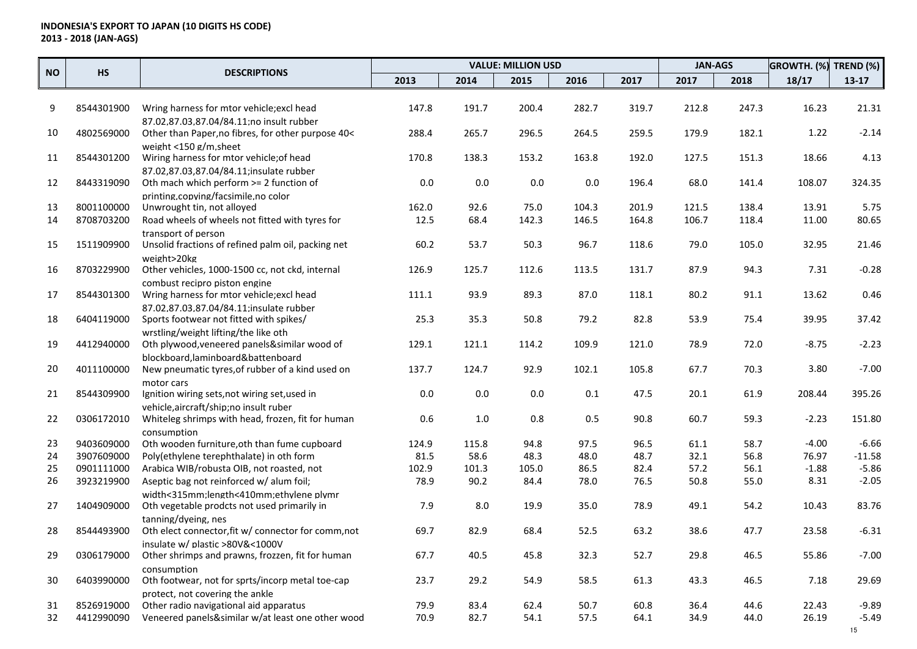|           | <b>HS</b>                |                                                                                       |               |               | <b>VALUE: MILLION USD</b> |              |              | <b>JAN-AGS</b> |              | GROWTH. $(\%)$ TREND $(\%)$ |                     |
|-----------|--------------------------|---------------------------------------------------------------------------------------|---------------|---------------|---------------------------|--------------|--------------|----------------|--------------|-----------------------------|---------------------|
| <b>NO</b> |                          | <b>DESCRIPTIONS</b>                                                                   | 2013          | 2014          | 2015                      | 2016         | 2017         | 2017           | 2018         | 18/17                       | $13-17$             |
|           |                          |                                                                                       |               |               |                           |              |              |                |              |                             |                     |
| 9         | 8544301900               | Wring harness for mtor vehicle; excl head                                             | 147.8         | 191.7         | 200.4                     | 282.7        | 319.7        | 212.8          | 247.3        | 16.23                       | 21.31               |
|           |                          | 87.02.87.03.87.04/84.11:no insult rubber                                              |               |               |                           |              |              |                |              |                             |                     |
| 10        | 4802569000               | Other than Paper, no fibres, for other purpose 40<                                    | 288.4         | 265.7         | 296.5                     | 264.5        | 259.5        | 179.9          | 182.1        | 1.22                        | $-2.14$             |
|           |                          | weight <150 g/m, sheet                                                                |               |               |                           |              |              |                |              |                             | 4.13                |
| 11        | 8544301200               | Wiring harness for mtor vehicle; of head                                              | 170.8         | 138.3         | 153.2                     | 163.8        | 192.0        | 127.5          | 151.3        | 18.66                       |                     |
| 12        | 8443319090               | 87.02.87.03.87.04/84.11;insulate rubber<br>Oth mach which perform >= 2 function of    | 0.0           | $0.0\,$       | 0.0                       | $0.0\,$      | 196.4        | 68.0           | 141.4        | 108.07                      | 324.35              |
|           |                          | printing.copving/facsimile.no color                                                   |               |               |                           |              |              |                |              |                             |                     |
| 13        | 8001100000               | Unwrought tin, not alloyed                                                            | 162.0         | 92.6          | 75.0                      | 104.3        | 201.9        | 121.5          | 138.4        | 13.91                       | 5.75                |
| 14        | 8708703200               | Road wheels of wheels not fitted with tyres for                                       | 12.5          | 68.4          | 142.3                     | 146.5        | 164.8        | 106.7          | 118.4        | 11.00                       | 80.65               |
|           |                          | transport of person                                                                   |               |               |                           |              |              |                |              |                             |                     |
| 15        | 1511909900               | Unsolid fractions of refined palm oil, packing net                                    | 60.2          | 53.7          | 50.3                      | 96.7         | 118.6        | 79.0           | 105.0        | 32.95                       | 21.46               |
|           |                          | weight>20kg                                                                           |               |               |                           |              |              |                |              |                             |                     |
| 16        | 8703229900               | Other vehicles, 1000-1500 cc, not ckd, internal                                       | 126.9         | 125.7         | 112.6                     | 113.5        | 131.7        | 87.9           | 94.3         | 7.31                        | $-0.28$             |
|           |                          | combust recipro piston engine                                                         |               |               |                           |              |              |                |              |                             |                     |
| 17        | 8544301300               | Wring harness for mtor vehicle; excl head                                             | 111.1         | 93.9          | 89.3                      | 87.0         | 118.1        | 80.2           | 91.1         | 13.62                       | 0.46                |
|           | 6404119000               | 87.02,87.03,87.04/84.11;insulate rubber                                               | 25.3          | 35.3          | 50.8                      | 79.2         | 82.8         | 53.9           |              | 39.95                       | 37.42               |
| 18        |                          | Sports footwear not fitted with spikes/<br>wrstling/weight lifting/the like oth       |               |               |                           |              |              |                | 75.4         |                             |                     |
| 19        | 4412940000               | Oth plywood, veneered panels&similar wood of                                          | 129.1         | 121.1         | 114.2                     | 109.9        | 121.0        | 78.9           | 72.0         | $-8.75$                     | $-2.23$             |
|           |                          | blockboard,laminboard&battenboard                                                     |               |               |                           |              |              |                |              |                             |                     |
| 20        | 4011100000               | New pneumatic tyres, of rubber of a kind used on                                      | 137.7         | 124.7         | 92.9                      | 102.1        | 105.8        | 67.7           | 70.3         | 3.80                        | $-7.00$             |
|           |                          | motor cars                                                                            |               |               |                           |              |              |                |              |                             |                     |
| 21        | 8544309900               | Ignition wiring sets, not wiring set, used in                                         | 0.0           | $0.0\,$       | 0.0                       | $0.1\,$      | 47.5         | 20.1           | 61.9         | 208.44                      | 395.26              |
|           |                          | vehicle.aircraft/ship;no insult ruber                                                 |               |               |                           |              |              |                |              |                             |                     |
| 22        | 0306172010               | Whiteleg shrimps with head, frozen, fit for human                                     | 0.6           | $1.0$         | 0.8                       | 0.5          | 90.8         | 60.7           | 59.3         | $-2.23$                     | 151.80              |
|           |                          | consumption                                                                           |               |               |                           |              |              |                |              |                             |                     |
| 23        | 9403609000               | Oth wooden furniture, oth than fume cupboard                                          | 124.9         | 115.8         | 94.8                      | 97.5         | 96.5         | 61.1           | 58.7         | $-4.00$                     | $-6.66$             |
| 24        | 3907609000<br>0901111000 | Poly(ethylene terephthalate) in oth form<br>Arabica WIB/robusta OIB, not roasted, not | 81.5          | 58.6          | 48.3                      | 48.0         | 48.7<br>82.4 | 32.1           | 56.8<br>56.1 | 76.97<br>$-1.88$            | $-11.58$<br>$-5.86$ |
| 25<br>26  | 3923219900               | Aseptic bag not reinforced w/ alum foil;                                              | 102.9<br>78.9 | 101.3<br>90.2 | 105.0<br>84.4             | 86.5<br>78.0 | 76.5         | 57.2<br>50.8   | 55.0         | 8.31                        | $-2.05$             |
|           |                          | width<315mm;length<410mm;ethylene plymr                                               |               |               |                           |              |              |                |              |                             |                     |
| 27        | 1404909000               | Oth vegetable prodcts not used primarily in                                           | 7.9           | 8.0           | 19.9                      | 35.0         | 78.9         | 49.1           | 54.2         | 10.43                       | 83.76               |
|           |                          | tanning/dveing, nes                                                                   |               |               |                           |              |              |                |              |                             |                     |
| 28        | 8544493900               | Oth elect connector, fit w/ connector for comm, not                                   | 69.7          | 82.9          | 68.4                      | 52.5         | 63.2         | 38.6           | 47.7         | 23.58                       | $-6.31$             |
|           |                          | insulate w/ plastic >80V&<1000V                                                       |               |               |                           |              |              |                |              |                             |                     |
| 29        | 0306179000               | Other shrimps and prawns, frozzen, fit for human                                      | 67.7          | 40.5          | 45.8                      | 32.3         | 52.7         | 29.8           | 46.5         | 55.86                       | $-7.00$             |
|           |                          | consumption                                                                           |               |               |                           |              |              |                |              |                             |                     |
| 30        | 6403990000               | Oth footwear, not for sprts/incorp metal toe-cap                                      | 23.7          | 29.2          | 54.9                      | 58.5         | 61.3         | 43.3           | 46.5         | 7.18                        | 29.69               |
|           |                          | protect, not covering the ankle                                                       |               |               |                           |              |              |                |              |                             |                     |
| 31        | 8526919000               | Other radio navigational aid apparatus                                                | 79.9          | 83.4          | 62.4                      | 50.7         | 60.8         | 36.4           | 44.6         | 22.43                       | $-9.89$             |
| 32        | 4412990090               | Veneered panels&similar w/at least one other wood                                     | 70.9          | 82.7          | 54.1                      | 57.5         | 64.1         | 34.9           | 44.0         | 26.19                       | $-5.49$             |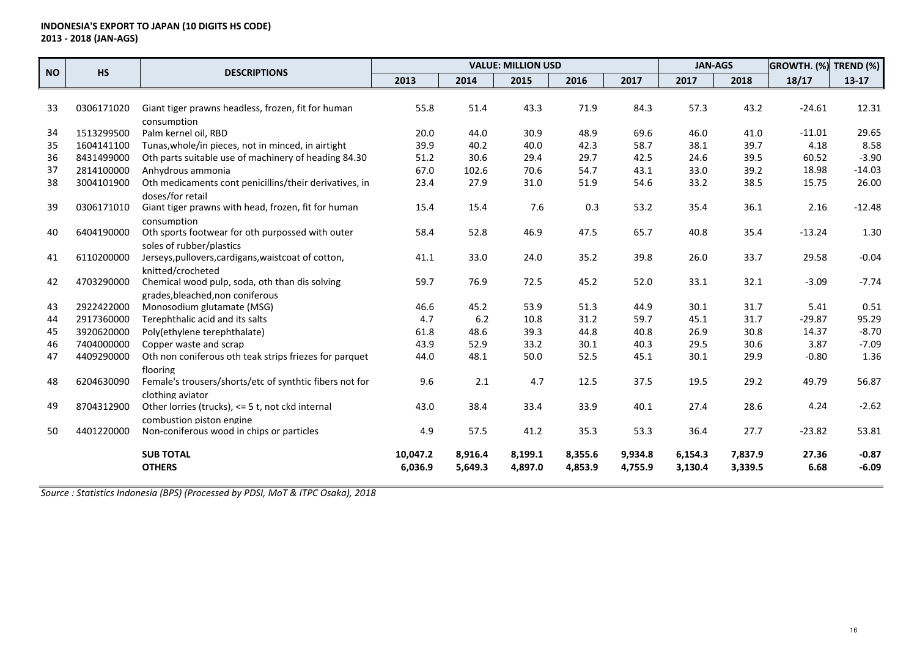| <b>NO</b> | <b>HS</b>  | <b>DESCRIPTIONS</b>                                     |          |         | <b>VALUE: MILLION USD</b> |         | <b>JAN-AGS</b> |         | GROWTH. (%) | TREND (%) |           |
|-----------|------------|---------------------------------------------------------|----------|---------|---------------------------|---------|----------------|---------|-------------|-----------|-----------|
|           |            |                                                         | 2013     | 2014    | 2015                      | 2016    | 2017           | 2017    | 2018        | 18/17     | $13 - 17$ |
|           |            |                                                         |          |         |                           |         |                |         |             |           |           |
| 33        | 0306171020 | Giant tiger prawns headless, frozen, fit for human      | 55.8     | 51.4    | 43.3                      | 71.9    | 84.3           | 57.3    | 43.2        | $-24.61$  | 12.31     |
|           |            | consumption                                             |          |         |                           |         |                |         |             |           |           |
| 34        | 1513299500 | Palm kernel oil, RBD                                    | 20.0     | 44.0    | 30.9                      | 48.9    | 69.6           | 46.0    | 41.0        | $-11.01$  | 29.65     |
| 35        | 1604141100 | Tunas, whole/in pieces, not in minced, in airtight      | 39.9     | 40.2    | 40.0                      | 42.3    | 58.7           | 38.1    | 39.7        | 4.18      | 8.58      |
| 36        | 8431499000 | Oth parts suitable use of machinery of heading 84.30    | 51.2     | 30.6    | 29.4                      | 29.7    | 42.5           | 24.6    | 39.5        | 60.52     | $-3.90$   |
| 37        | 2814100000 | Anhydrous ammonia                                       | 67.0     | 102.6   | 70.6                      | 54.7    | 43.1           | 33.0    | 39.2        | 18.98     | $-14.03$  |
| 38        | 3004101900 | Oth medicaments cont penicillins/their derivatives, in  | 23.4     | 27.9    | 31.0                      | 51.9    | 54.6           | 33.2    | 38.5        | 15.75     | 26.00     |
|           |            | doses/for retail                                        |          |         |                           |         |                |         |             |           |           |
| 39        | 0306171010 | Giant tiger prawns with head, frozen, fit for human     | 15.4     | 15.4    | 7.6                       | 0.3     | 53.2           | 35.4    | 36.1        | 2.16      | $-12.48$  |
|           |            | consumption                                             |          |         |                           |         |                |         |             |           |           |
| 40        | 6404190000 | Oth sports footwear for oth purpossed with outer        | 58.4     | 52.8    | 46.9                      | 47.5    | 65.7           | 40.8    | 35.4        | $-13.24$  | 1.30      |
|           |            | soles of rubber/plastics                                |          |         |                           |         |                |         |             |           |           |
| 41        | 6110200000 | Jerseys, pullovers, cardigans, waistcoat of cotton,     | 41.1     | 33.0    | 24.0                      | 35.2    | 39.8           | 26.0    | 33.7        | 29.58     | $-0.04$   |
|           |            | knitted/crocheted                                       |          |         |                           |         |                |         |             |           |           |
| 42        | 4703290000 | Chemical wood pulp, soda, oth than dis solving          | 59.7     | 76.9    | 72.5                      | 45.2    | 52.0           | 33.1    | 32.1        | $-3.09$   | $-7.74$   |
|           |            | grades, bleached, non coniferous                        |          |         |                           |         |                |         |             |           |           |
| 43        | 2922422000 | Monosodium glutamate (MSG)                              | 46.6     | 45.2    | 53.9                      | 51.3    | 44.9           | 30.1    | 31.7        | 5.41      | 0.51      |
| 44        | 2917360000 | Terephthalic acid and its salts                         | 4.7      | 6.2     | 10.8                      | 31.2    | 59.7           | 45.1    | 31.7        | $-29.87$  | 95.29     |
| 45        | 3920620000 | Poly(ethylene terephthalate)                            | 61.8     | 48.6    | 39.3                      | 44.8    | 40.8           | 26.9    | 30.8        | 14.37     | $-8.70$   |
| 46        | 7404000000 | Copper waste and scrap                                  | 43.9     | 52.9    | 33.2                      | 30.1    | 40.3           | 29.5    | 30.6        | 3.87      | $-7.09$   |
| 47        | 4409290000 | Oth non coniferous oth teak strips friezes for parquet  | 44.0     | 48.1    | 50.0                      | 52.5    | 45.1           | 30.1    | 29.9        | $-0.80$   | 1.36      |
|           |            | flooring                                                |          |         |                           |         |                |         |             |           |           |
| 48        | 6204630090 | Female's trousers/shorts/etc of synthtic fibers not for | 9.6      | 2.1     | 4.7                       | 12.5    | 37.5           | 19.5    | 29.2        | 49.79     | 56.87     |
|           |            | clothing aviator                                        |          |         |                           |         |                |         |             |           |           |
| 49        | 8704312900 | Other lorries (trucks), <= 5 t, not ckd internal        | 43.0     | 38.4    | 33.4                      | 33.9    | 40.1           | 27.4    | 28.6        | 4.24      | $-2.62$   |
|           |            | combustion piston engine                                |          |         |                           |         |                |         |             |           |           |
| 50        | 4401220000 | Non-coniferous wood in chips or particles               | 4.9      | 57.5    | 41.2                      | 35.3    | 53.3           | 36.4    | 27.7        | $-23.82$  | 53.81     |
|           |            | <b>SUB TOTAL</b>                                        | 10,047.2 | 8,916.4 | 8,199.1                   | 8,355.6 | 9,934.8        | 6,154.3 | 7,837.9     | 27.36     | $-0.87$   |
|           |            | <b>OTHERS</b>                                           | 6,036.9  | 5,649.3 | 4,897.0                   | 4,853.9 | 4,755.9        | 3,130.4 | 3,339.5     | 6.68      | $-6.09$   |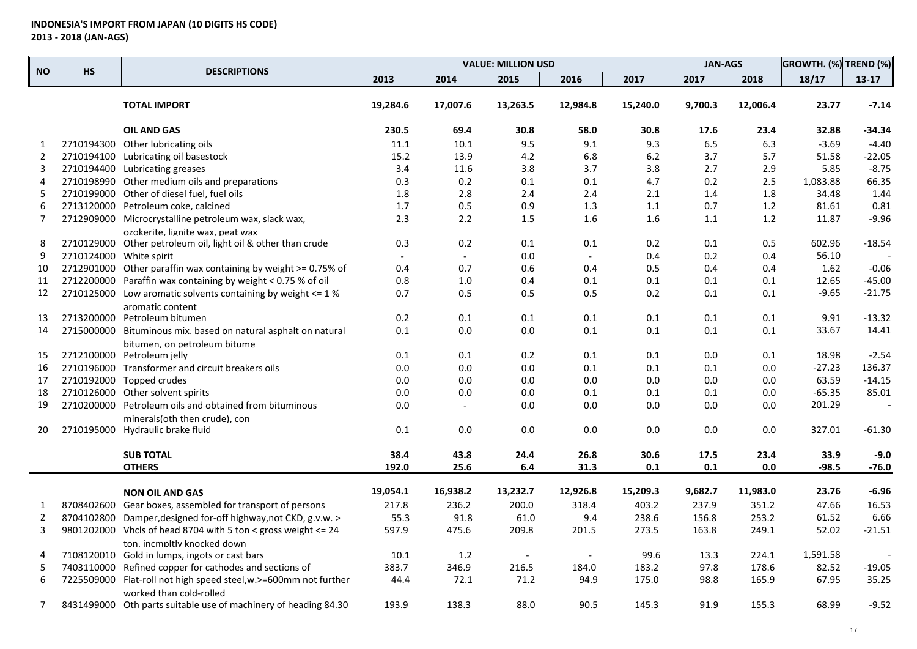|                |                         | <b>DESCRIPTIONS</b>                                              |                          |                          | <b>VALUE: MILLION USD</b> |                          |          | <b>JAN-AGS</b> |          | GROWTH. (%) TREND (%) |          |
|----------------|-------------------------|------------------------------------------------------------------|--------------------------|--------------------------|---------------------------|--------------------------|----------|----------------|----------|-----------------------|----------|
| <b>NO</b>      | <b>HS</b>               |                                                                  | 2013                     | 2014                     | 2015                      | 2016                     | 2017     | 2017           | 2018     | 18/17                 | $13-17$  |
|                |                         | <b>TOTAL IMPORT</b>                                              | 19,284.6                 | 17,007.6                 | 13,263.5                  | 12,984.8                 | 15,240.0 | 9,700.3        | 12,006.4 | 23.77                 | $-7.14$  |
|                |                         | <b>OIL AND GAS</b>                                               | 230.5                    | 69.4                     | 30.8                      | 58.0                     | 30.8     | 17.6           | 23.4     | 32.88                 | $-34.34$ |
| 1              |                         | 2710194300 Other lubricating oils                                | 11.1                     | 10.1                     | 9.5                       | 9.1                      | 9.3      | 6.5            | 6.3      | $-3.69$               | $-4.40$  |
| $\overline{2}$ |                         | 2710194100 Lubricating oil basestock                             | 15.2                     | 13.9                     | 4.2                       | 6.8                      | $6.2$    | 3.7            | 5.7      | 51.58                 | $-22.05$ |
| 3              |                         | 2710194400 Lubricating greases                                   | 3.4                      | 11.6                     | 3.8                       | 3.7                      | 3.8      | 2.7            | 2.9      | 5.85                  | $-8.75$  |
| 4              |                         | 2710198990 Other medium oils and preparations                    | 0.3                      | 0.2                      | 0.1                       | 0.1                      | 4.7      | 0.2            | 2.5      | 1,083.88              | 66.35    |
| 5              |                         | 2710199000 Other of diesel fuel, fuel oils                       | 1.8                      | 2.8                      | 2.4                       | 2.4                      | 2.1      | 1.4            | 1.8      | 34.48                 | 1.44     |
| 6              |                         | 2713120000 Petroleum coke, calcined                              | 1.7                      | 0.5                      | 0.9                       | 1.3                      | 1.1      | 0.7            | 1.2      | 81.61                 | 0.81     |
| $\overline{7}$ |                         | 2712909000 Microcrystalline petroleum wax, slack wax,            | 2.3                      | 2.2                      | 1.5                       | 1.6                      | 1.6      | 1.1            | 1.2      | 11.87                 | $-9.96$  |
|                |                         | ozokerite, lignite wax, peat wax                                 |                          |                          |                           |                          |          |                |          |                       |          |
| 8              |                         | 2710129000 Other petroleum oil, light oil & other than crude     | 0.3                      | 0.2                      | 0.1                       | 0.1                      | 0.2      | $0.1\,$        | 0.5      | 602.96                | $-18.54$ |
| 9              | 2710124000 White spirit |                                                                  | $\overline{\phantom{a}}$ | $\overline{\phantom{a}}$ | 0.0                       | $\overline{\phantom{a}}$ | 0.4      | 0.2            | 0.4      | 56.10                 |          |
| 10             |                         | 2712901000 Other paraffin wax containing by weight >= 0.75% of   | 0.4                      | 0.7                      | 0.6                       | 0.4                      | 0.5      | 0.4            | 0.4      | 1.62                  | $-0.06$  |
| 11             |                         | 2712200000 Paraffin wax containing by weight < 0.75 % of oil     | 0.8                      | $1.0\,$                  | 0.4                       | 0.1                      | 0.1      | 0.1            | 0.1      | 12.65                 | $-45.00$ |
| 12             |                         | 2710125000 Low aromatic solvents containing by weight <= 1 %     | 0.7                      | 0.5                      | 0.5                       | 0.5                      | 0.2      | 0.1            | 0.1      | $-9.65$               | $-21.75$ |
|                |                         | aromatic content                                                 |                          |                          |                           |                          |          |                |          |                       |          |
| 13             |                         | 2713200000 Petroleum bitumen                                     | 0.2                      | $0.1\,$                  | 0.1                       | $0.1\,$                  | $0.1\,$  | $0.1\,$        | $0.1\,$  | 9.91                  | $-13.32$ |
| 14             |                         | 2715000000 Bituminous mix. based on natural asphalt on natural   | $0.1\,$                  | $0.0\,$                  | 0.0                       | $0.1\,$                  | $0.1\,$  | $0.1\,$        | 0.1      | 33.67                 | 14.41    |
|                |                         | bitumen, on petroleum bitume                                     |                          |                          |                           |                          |          |                |          |                       |          |
| 15             |                         | 2712100000 Petroleum jelly                                       | $0.1\,$                  | 0.1                      | 0.2                       | $0.1\,$                  | 0.1      | $0.0\,$        | 0.1      | 18.98                 | $-2.54$  |
| 16             |                         | 2710196000 Transformer and circuit breakers oils                 | $0.0\,$                  | 0.0                      | $0.0\,$                   | 0.1                      | 0.1      | 0.1            | $0.0\,$  | $-27.23$              | 136.37   |
| 17             |                         | 2710192000 Topped crudes                                         | 0.0                      | 0.0                      | 0.0                       | 0.0                      | 0.0      | 0.0            | 0.0      | 63.59                 | $-14.15$ |
| 18             |                         | 2710126000 Other solvent spirits                                 | 0.0                      | $0.0\,$                  | 0.0                       | 0.1                      | 0.1      | 0.1            | 0.0      | $-65.35$              | 85.01    |
| 19             |                         | 2710200000 Petroleum oils and obtained from bituminous           | 0.0                      |                          | 0.0                       | 0.0                      | 0.0      | 0.0            | 0.0      | 201.29                |          |
|                |                         | minerals(oth then crude), con                                    |                          |                          |                           |                          |          |                |          |                       |          |
| 20             |                         | 2710195000 Hydraulic brake fluid                                 | $0.1\,$                  | 0.0                      | 0.0                       | 0.0                      | 0.0      | $0.0\,$        | 0.0      | 327.01                | $-61.30$ |
|                |                         | <b>SUB TOTAL</b>                                                 | 38.4                     | 43.8                     | 24.4                      | 26.8                     | 30.6     | 17.5           | 23.4     | 33.9                  | $-9.0$   |
|                |                         | <b>OTHERS</b>                                                    | 192.0                    | 25.6                     | $6.4\,$                   | 31.3                     | 0.1      | 0.1            | 0.0      | $-98.5$               | $-76.0$  |
|                |                         | <b>NON OIL AND GAS</b>                                           | 19,054.1                 | 16,938.2                 | 13,232.7                  | 12,926.8                 | 15,209.3 | 9,682.7        | 11,983.0 | 23.76                 | $-6.96$  |
| 1              |                         | 8708402600 Gear boxes, assembled for transport of persons        | 217.8                    | 236.2                    | 200.0                     | 318.4                    | 403.2    | 237.9          | 351.2    | 47.66                 | 16.53    |
| $\overline{2}$ |                         | 8704102800 Damper, designed for-off highway, not CKD, g.v.w. >   | 55.3                     | 91.8                     | 61.0                      | 9.4                      | 238.6    | 156.8          | 253.2    | 61.52                 | 6.66     |
| 3              |                         | 9801202000 Vhcls of head 8704 with 5 ton < gross weight <= 24    | 597.9                    | 475.6                    | 209.8                     | 201.5                    | 273.5    | 163.8          | 249.1    | 52.02                 | $-21.51$ |
|                |                         | ton, incmpltly knocked down                                      |                          |                          |                           |                          |          |                |          |                       |          |
| 4              |                         | 7108120010 Gold in lumps, ingots or cast bars                    | 10.1                     | 1.2                      |                           | $\overline{\phantom{a}}$ | 99.6     | 13.3           | 224.1    | 1,591.58              |          |
| 5              |                         | 7403110000 Refined copper for cathodes and sections of           | 383.7                    | 346.9                    | 216.5                     | 184.0                    | 183.2    | 97.8           | 178.6    | 82.52                 | $-19.05$ |
| 6              |                         | 7225509000 Flat-roll not high speed steel, w.>=600mm not further | 44.4                     | 72.1                     | 71.2                      | 94.9                     | 175.0    | 98.8           | 165.9    | 67.95                 | 35.25    |
|                |                         | worked than cold-rolled                                          |                          |                          |                           |                          |          |                |          |                       |          |
| 7              |                         | 8431499000 Oth parts suitable use of machinery of heading 84.30  | 193.9                    | 138.3                    | 88.0                      | 90.5                     | 145.3    | 91.9           | 155.3    | 68.99                 | $-9.52$  |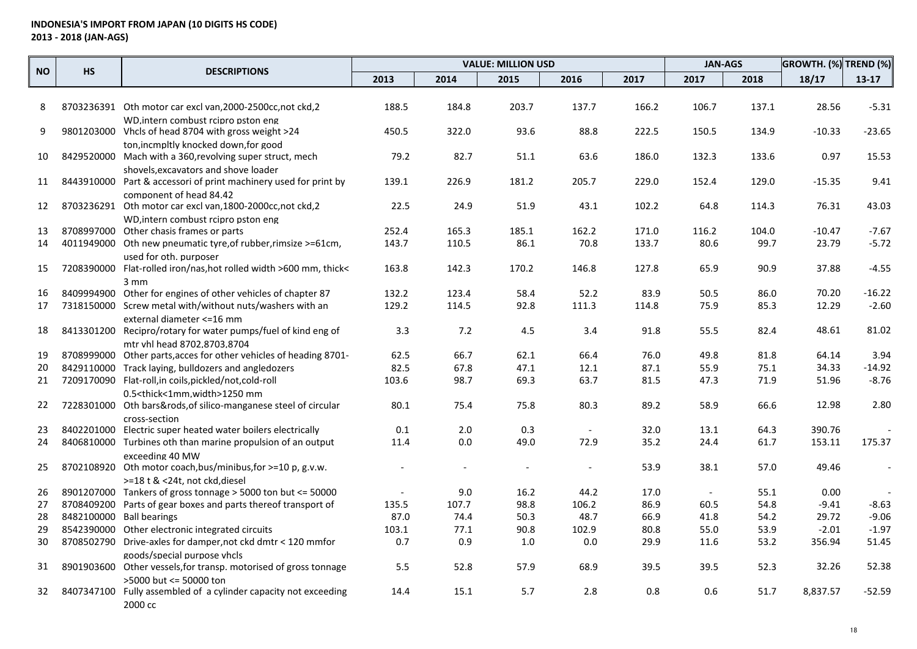|           |                          |                                                                                                                          | <b>VALUE: MILLION USD</b> |              |              |                          |              | <b>JAN-AGS</b> |              | <b>GROWTH.</b> $(\%)$ TREND $(\%)$ |                  |
|-----------|--------------------------|--------------------------------------------------------------------------------------------------------------------------|---------------------------|--------------|--------------|--------------------------|--------------|----------------|--------------|------------------------------------|------------------|
| <b>NO</b> | HS                       | <b>DESCRIPTIONS</b>                                                                                                      | 2013                      | 2014         | 2015         | 2016                     | 2017         | 2017           | 2018         | 18/17                              | $13 - 17$        |
|           |                          |                                                                                                                          |                           |              |              |                          |              |                |              |                                    |                  |
| 8         |                          | 8703236391 Oth motor car excl van, 2000-2500cc, not ckd, 2                                                               | 188.5                     | 184.8        | 203.7        | 137.7                    | 166.2        | 106.7          | 137.1        | 28.56                              | $-5.31$          |
| 9         |                          | WD, intern combust rcipro pston eng                                                                                      | 450.5                     | 322.0        |              | 88.8                     | 222.5        |                | 134.9        | $-10.33$                           | $-23.65$         |
|           |                          | 9801203000 Vhcls of head 8704 with gross weight >24<br>ton.incmpltly knocked down.for good                               |                           |              | 93.6         |                          |              | 150.5          |              |                                    |                  |
| 10        |                          | 8429520000 Mach with a 360, revolving super struct, mech                                                                 | 79.2                      | 82.7         | 51.1         | 63.6                     | 186.0        | 132.3          | 133.6        | 0.97                               | 15.53            |
|           |                          | shovels, excavators and shove loader                                                                                     |                           |              |              |                          |              |                |              |                                    |                  |
| 11        |                          | 8443910000 Part & accessori of print machinery used for print by                                                         | 139.1                     | 226.9        | 181.2        | 205.7                    | 229.0        | 152.4          | 129.0        | $-15.35$                           | 9.41             |
|           |                          | component of head 84.42                                                                                                  |                           |              |              |                          |              |                |              |                                    |                  |
| 12        |                          | 8703236291 Oth motor car excl van, 1800-2000cc, not ckd, 2                                                               | 22.5                      | 24.9         | 51.9         | 43.1                     | 102.2        | 64.8           | 114.3        | 76.31                              | 43.03            |
| 13        |                          | WD, intern combust reipro pston eng                                                                                      | 252.4                     | 165.3        | 185.1        | 162.2                    | 171.0        | 116.2          | 104.0        | $-10.47$                           | $-7.67$          |
| 14        |                          | 8708997000 Other chasis frames or parts<br>4011949000 Oth new pneumatic tyre, of rubber, rimsize >=61cm,                 | 143.7                     | 110.5        | 86.1         | 70.8                     | 133.7        | 80.6           | 99.7         | 23.79                              | $-5.72$          |
|           |                          | used for oth, purposer                                                                                                   |                           |              |              |                          |              |                |              |                                    |                  |
| 15        |                          | 7208390000 Flat-rolled iron/nas, hot rolled width >600 mm, thick<                                                        | 163.8                     | 142.3        | 170.2        | 146.8                    | 127.8        | 65.9           | 90.9         | 37.88                              | $-4.55$          |
|           |                          | $3 \, \text{mm}$                                                                                                         |                           |              |              |                          |              |                |              |                                    |                  |
| 16        |                          | 8409994900 Other for engines of other vehicles of chapter 87                                                             | 132.2                     | 123.4        | 58.4         | 52.2                     | 83.9         | 50.5           | 86.0         | 70.20                              | $-16.22$         |
| 17        |                          | 7318150000 Screw metal with/without nuts/washers with an                                                                 | 129.2                     | 114.5        | 92.8         | 111.3                    | 114.8        | 75.9           | 85.3         | 12.29                              | $-2.60$          |
|           |                          | external diameter <= 16 mm                                                                                               |                           |              |              |                          |              |                |              |                                    |                  |
| 18        |                          | 8413301200 Recipro/rotary for water pumps/fuel of kind eng of                                                            | 3.3                       | 7.2          | 4.5          | 3.4                      | 91.8         | 55.5           | 82.4         | 48.61                              | 81.02            |
|           |                          | mtr vhl head 8702,8703,8704                                                                                              |                           |              |              |                          |              |                |              |                                    |                  |
| 19<br>20  |                          | 8708999000 Other parts, acces for other vehicles of heading 8701-<br>8429110000 Track laying, bulldozers and angledozers | 62.5<br>82.5              | 66.7<br>67.8 | 62.1<br>47.1 | 66.4<br>12.1             | 76.0<br>87.1 | 49.8           | 81.8         | 64.14<br>34.33                     | 3.94<br>$-14.92$ |
| 21        |                          | 7209170090 Flat-roll, in coils, pickled/not, cold-roll                                                                   | 103.6                     | 98.7         | 69.3         | 63.7                     | 81.5         | 55.9<br>47.3   | 75.1<br>71.9 | 51.96                              | $-8.76$          |
|           |                          | 0.5 <thick<1mm,width>1250 mm</thick<1mm,width>                                                                           |                           |              |              |                          |              |                |              |                                    |                  |
| 22        |                          | 7228301000 Oth bars&rods, of silico-manganese steel of circular                                                          | 80.1                      | 75.4         | 75.8         | 80.3                     | 89.2         | 58.9           | 66.6         | 12.98                              | 2.80             |
|           |                          | cross-section                                                                                                            |                           |              |              |                          |              |                |              |                                    |                  |
| 23        |                          | 8402201000 Electric super heated water boilers electrically                                                              | 0.1                       | $2.0$        | 0.3          | $\overline{\phantom{a}}$ | 32.0         | 13.1           | 64.3         | 390.76                             |                  |
| 24        |                          | 8406810000 Turbines oth than marine propulsion of an output                                                              | 11.4                      | $0.0\,$      | 49.0         | 72.9                     | 35.2         | 24.4           | 61.7         | 153.11                             | 175.37           |
|           |                          | exceeding 40 MW                                                                                                          |                           |              |              |                          |              |                |              |                                    |                  |
| 25        |                          | 8702108920 Oth motor coach, bus/minibus, for >=10 p, g.v.w.                                                              |                           |              |              |                          | 53.9         | 38.1           | 57.0         | 49.46                              |                  |
|           |                          | >=18 t & <24t, not ckd.diesel                                                                                            |                           |              |              |                          |              |                |              |                                    |                  |
| 26        |                          | 8901207000 Tankers of gross tonnage > 5000 ton but <= 50000                                                              |                           | 9.0          | 16.2         | 44.2                     | 17.0         | $\sim$         | 55.1         | 0.00                               |                  |
| 27        |                          | 8708409200 Parts of gear boxes and parts thereof transport of                                                            | 135.5                     | 107.7        | 98.8         | 106.2                    | 86.9         | 60.5           | 54.8         | $-9.41$                            | $-8.63$          |
| 28        | 8482100000 Ball bearings |                                                                                                                          | 87.0                      | 74.4         | 50.3         | 48.7                     | 66.9         | 41.8           | 54.2         | 29.72                              | $-9.06$          |
| 29        |                          | 8542390000 Other electronic integrated circuits                                                                          | 103.1                     | 77.1         | 90.8         | 102.9                    | 80.8         | 55.0           | 53.9         | $-2.01$                            | $-1.97$          |
| 30        |                          | 8708502790 Drive-axles for damper, not ckd dmtr < 120 mmfor                                                              | 0.7                       | 0.9          | 1.0          | $0.0\,$                  | 29.9         | 11.6           | 53.2         | 356.94                             | 51.45            |
|           |                          | goods/special purpose yhcls                                                                                              |                           |              |              |                          |              |                |              |                                    |                  |
| 31        |                          | 8901903600 Other vessels, for transp. motorised of gross tonnage                                                         | 5.5                       | 52.8         | 57.9         | 68.9                     | 39.5         | 39.5           | 52.3         | 32.26                              | 52.38            |
| 32        |                          | >5000 but <= 50000 ton<br>8407347100 Fully assembled of a cylinder capacity not exceeding                                | 14.4                      | 15.1         | 5.7          | 2.8                      | 0.8          | 0.6            | 51.7         | 8,837.57                           | $-52.59$         |
|           |                          | 2000 cc                                                                                                                  |                           |              |              |                          |              |                |              |                                    |                  |